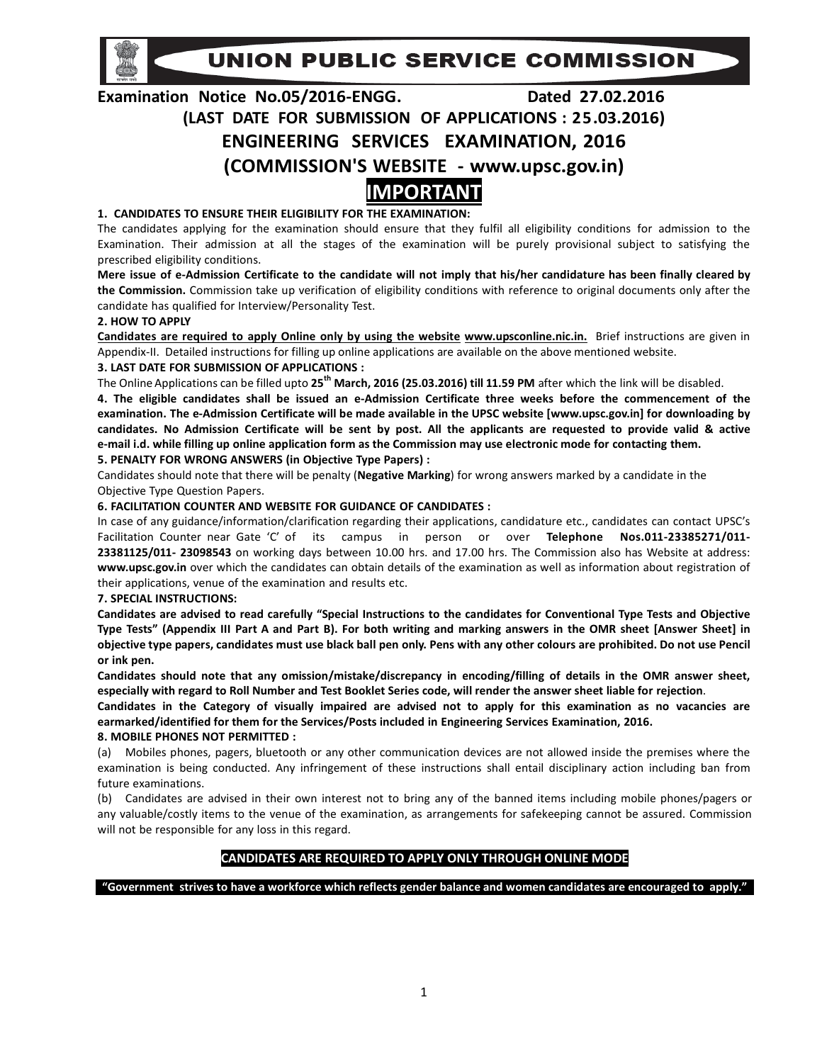UNION PUBLIC SERVICE COMMISSION

# Examination Notice No.05/2016-ENGG. Dated 27.02.2016 (LAST DATE FOR SUBMISSION OF APPLICATIONS : 25.03.2016) ENGINEERING SERVICES EXAMINATION, 2016 (COMMISSION'S WEBSITE - www.upsc.gov.in) IMPORTANT

## 1. CANDIDATES TO ENSURE THEIR ELIGIBILITY FOR THE EXAMINATION:

The candidates applying for the examination should ensure that they fulfil all eligibility conditions for admission to the Examination. Their admission at all the stages of the examination will be purely provisional subject to satisfying the prescribed eligibility conditions.

Mere issue of e-Admission Certificate to the candidate will not imply that his/her candidature has been finally cleared by the Commission. Commission take up verification of eligibility conditions with reference to original documents only after the candidate has qualified for Interview/Personality Test.

## 2. HOW TO APPLY

Candidates are required to apply Online only by using the website www.upsconline.nic.in. Brief instructions are given in Appendix-II. Detailed instructions for filling up online applications are available on the above mentioned website. 3. LAST DATE FOR SUBMISSION OF APPLICATIONS :

The Online Applications can be filled upto  $25<sup>th</sup>$  March, 2016 (25.03.2016) till 11.59 PM after which the link will be disabled.

4. The eligible candidates shall be issued an e-Admission Certificate three weeks before the commencement of the examination. The e-Admission Certificate will be made available in the UPSC website [www.upsc.gov.in] for downloading by candidates. No Admission Certificate will be sent by post. All the applicants are requested to provide valid & active e-mail i.d. while filling up online application form as the Commission may use electronic mode for contacting them.

## 5. PENALTY FOR WRONG ANSWERS (in Objective Type Papers) :

Candidates should note that there will be penalty (Negative Marking) for wrong answers marked by a candidate in the Objective Type Question Papers.

## 6. FACILITATION COUNTER AND WEBSITE FOR GUIDANCE OF CANDIDATES :

In case of any guidance/information/clarification regarding their applications, candidature etc., candidates can contact UPSC's Facilitation Counter near Gate 'C' of its campus in person or over Telephone Nos.011-23385271/011-23381125/011- 23098543 on working days between 10.00 hrs. and 17.00 hrs. The Commission also has Website at address: www.upsc.gov.in over which the candidates can obtain details of the examination as well as information about registration of their applications, venue of the examination and results etc.

## 7. SPECIAL INSTRUCTIONS:

Candidates are advised to read carefully "Special Instructions to the candidates for Conventional Type Tests and Objective Type Tests" (Appendix III Part A and Part B). For both writing and marking answers in the OMR sheet [Answer Sheet] in objective type papers, candidates must use black ball pen only. Pens with any other colours are prohibited. Do not use Pencil or ink pen.

Candidates should note that any omission/mistake/discrepancy in encoding/filling of details in the OMR answer sheet, especially with regard to Roll Number and Test Booklet Series code, will render the answer sheet liable for rejection.

Candidates in the Category of visually impaired are advised not to apply for this examination as no vacancies are earmarked/identified for them for the Services/Posts included in Engineering Services Examination, 2016.

## 8. MOBILE PHONES NOT PERMITTED :

(a) Mobiles phones, pagers, bluetooth or any other communication devices are not allowed inside the premises where the examination is being conducted. Any infringement of these instructions shall entail disciplinary action including ban from future examinations.

(b) Candidates are advised in their own interest not to bring any of the banned items including mobile phones/pagers or any valuable/costly items to the venue of the examination, as arrangements for safekeeping cannot be assured. Commission will not be responsible for any loss in this regard.

## CANDIDATES ARE REQUIRED TO APPLY ONLY THROUGH ONLINE MODE

"Government strives to have a workforce which reflects gender balance and women candidates are encouraged to apply."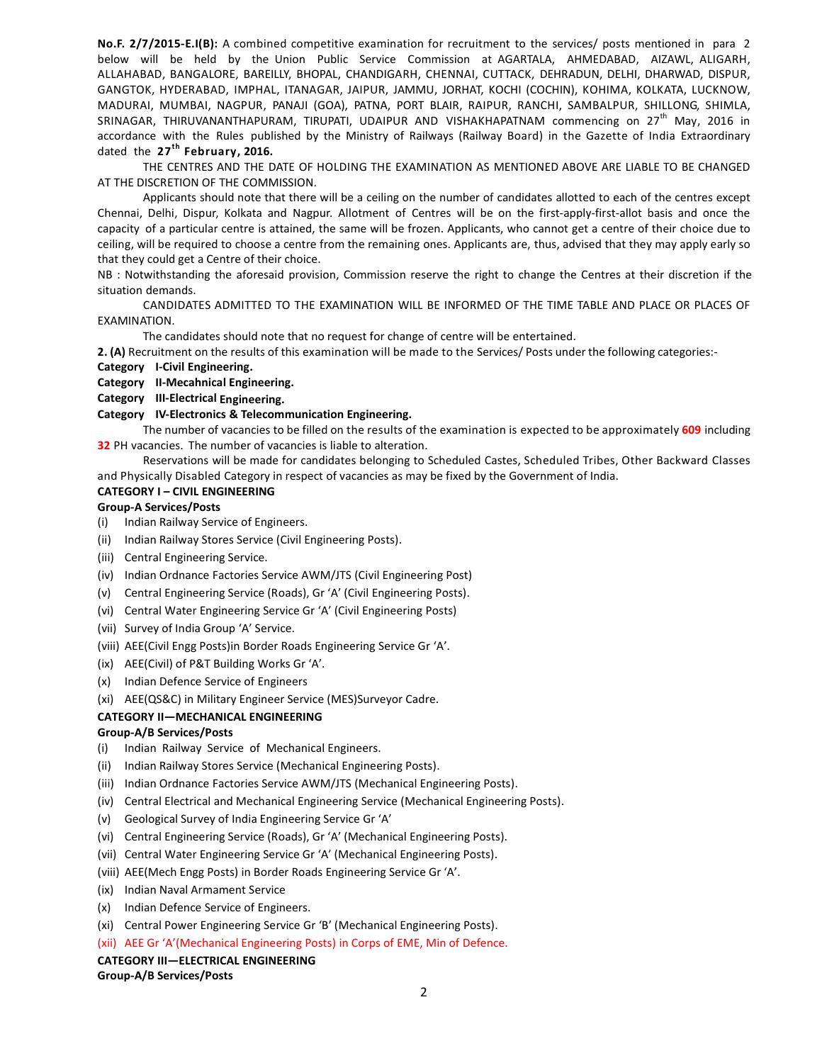No.F. 2/7/2015-E.I(B): A combined competitive examination for recruitment to the services/ posts mentioned in para 2 below will be held by the Union Public Service Commission at AGARTALA, AHMEDABAD, AIZAWL, ALIGARH, ALLAHABAD, BANGALORE, BAREILLY, BHOPAL, CHANDIGARH, CHENNAI, CUTTACK, DEHRADUN, DELHI, DHARWAD, DISPUR, GANGTOK, HYDERABAD, IMPHAL, ITANAGAR, JAIPUR, JAMMU, JORHAT, KOCHI (COCHIN), KOHIMA, KOLKATA, LUCKNOW, MADURAI, MUMBAI, NAGPUR, PANAJI (GOA), PATNA, PORT BLAIR, RAIPUR, RANCHI, SAMBALPUR, SHILLONG, SHIMLA, SRINAGAR, THIRUVANANTHAPURAM, TIRUPATI, UDAIPUR AND VISHAKHAPATNAM commencing on 27<sup>th</sup> May, 2016 in accordance with the Rules published by the Ministry of Railways (Railway Board) in the Gazette of India Extraordinary dated the  $27<sup>th</sup>$  February, 2016.

THE CENTRES AND THE DATE OF HOLDING THE EXAMINATION AS MENTIONED ABOVE ARE LIABLE TO BE CHANGED AT THE DISCRETION OF THE COMMISSION.

Applicants should note that there will be a ceiling on the number of candidates allotted to each of the centres except Chennai, Delhi, Dispur, Kolkata and Nagpur. Allotment of Centres will be on the first-apply-first-allot basis and once the capacity of a particular centre is attained, the same will be frozen. Applicants, who cannot get a centre of their choice due to ceiling, will be required to choose a centre from the remaining ones. Applicants are, thus, advised that they may apply early so that they could get a Centre of their choice.

NB : Notwithstanding the aforesaid provision, Commission reserve the right to change the Centres at their discretion if the situation demands.

CANDIDATES ADMITTED TO THE EXAMINATION WILL BE INFORMED OF THE TIME TABLE AND PLACE OR PLACES OF EXAMINATION.

The candidates should note that no request for change of centre will be entertained.

2. (A) Recruitment on the results of this examination will be made to the Services/ Posts under the following categories:-

Category I-Civil Engineering.

## Category II-Mecahnical Engineering.

Category III-Electrical Engineering.

#### Category IV-Electronics & Telecommunication Engineering.

The number of vacancies to be filled on the results of the examination is expected to be approximately 609 including **32** PH vacancies. The number of vacancies is liable to alteration.

Reservations will be made for candidates belonging to Scheduled Castes, Scheduled Tribes, Other Backward Classes and Physically Disabled Category in respect of vacancies as may be fixed by the Government of India.

#### CATEGORY I – CIVIL ENGINEERING

#### Group-A Services/Posts

- (i) Indian Railway Service of Engineers.
- (ii) Indian Railway Stores Service (Civil Engineering Posts).
- (iii) Central Engineering Service.
- (iv) Indian Ordnance Factories Service AWM/JTS (Civil Engineering Post)
- (v) Central Engineering Service (Roads), Gr 'A' (Civil Engineering Posts).
- (vi) Central Water Engineering Service Gr 'A' (Civil Engineering Posts)
- (vii) Survey of India Group 'A' Service.
- (viii) AEE(Civil Engg Posts)in Border Roads Engineering Service Gr 'A'.
- (ix) AEE(Civil) of P&T Building Works Gr 'A'.
- (x) Indian Defence Service of Engineers
- (xi) AEE(QS&C) in Military Engineer Service (MES)Surveyor Cadre.

## CATEGORY II—MECHANICAL ENGINEERING

#### Group-A/B Services/Posts

- (i) Indian Railway Service of Mechanical Engineers.
- (ii) Indian Railway Stores Service (Mechanical Engineering Posts).
- (iii) Indian Ordnance Factories Service AWM/JTS (Mechanical Engineering Posts).
- (iv) Central Electrical and Mechanical Engineering Service (Mechanical Engineering Posts).
- (v) Geological Survey of India Engineering Service Gr 'A'
- (vi) Central Engineering Service (Roads), Gr 'A' (Mechanical Engineering Posts).
- (vii) Central Water Engineering Service Gr 'A' (Mechanical Engineering Posts).
- (viii) AEE(Mech Engg Posts) in Border Roads Engineering Service Gr 'A'.
- (ix) Indian Naval Armament Service
- (x) Indian Defence Service of Engineers.
- (xi) Central Power Engineering Service Gr 'B' (Mechanical Engineering Posts).
- (xii) AEE Gr 'A'(Mechanical Engineering Posts) in Corps of EME, Min of Defence.

#### CATEGORY III—ELECTRICAL ENGINEERING

Group-A/B Services/Posts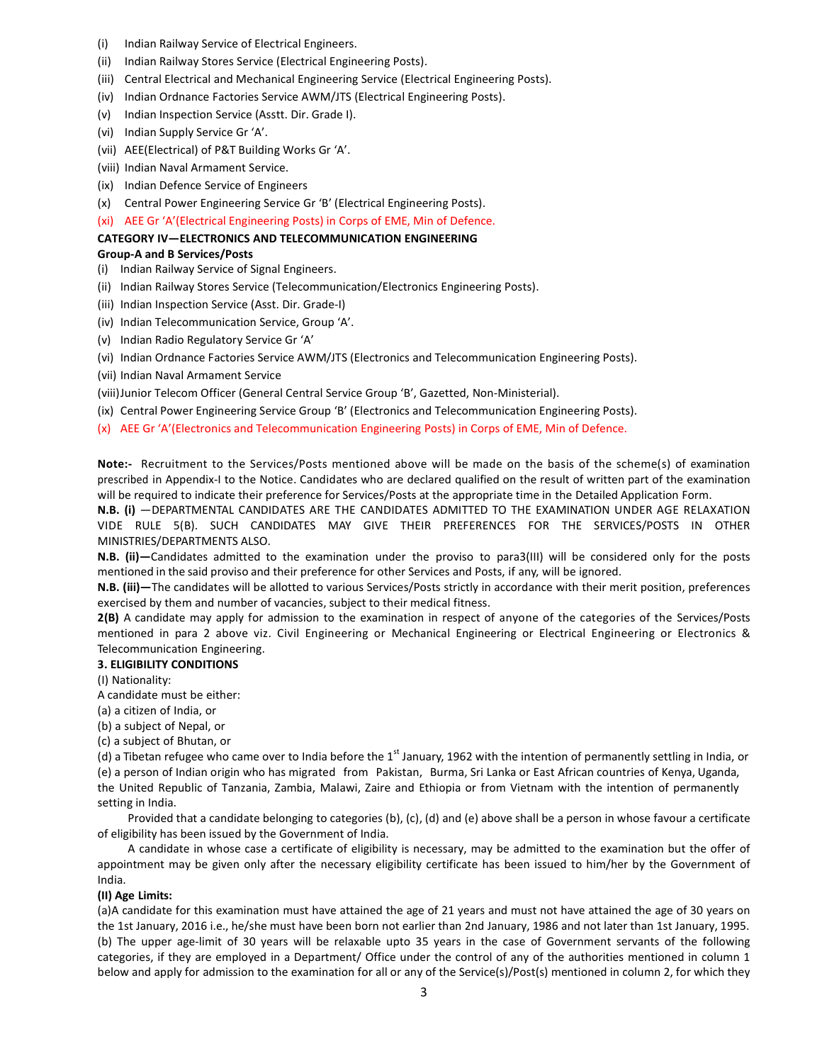- (i) Indian Railway Service of Electrical Engineers.
- (ii) Indian Railway Stores Service (Electrical Engineering Posts).
- (iii) Central Electrical and Mechanical Engineering Service (Electrical Engineering Posts).
- (iv) Indian Ordnance Factories Service AWM/JTS (Electrical Engineering Posts).
- (v) Indian Inspection Service (Asstt. Dir. Grade I).
- (vi) Indian Supply Service Gr 'A'.
- (vii) AEE(Electrical) of P&T Building Works Gr 'A'.
- (viii) Indian Naval Armament Service.
- (ix) Indian Defence Service of Engineers
- (x) Central Power Engineering Service Gr 'B' (Electrical Engineering Posts).
- (xi) AEE Gr 'A'(Electrical Engineering Posts) in Corps of EME, Min of Defence.

#### CATEGORY IV—ELECTRONICS AND TELECOMMUNICATION ENGINEERING

#### Group-A and B Services/Posts

- (i) Indian Railway Service of Signal Engineers.
- (ii) Indian Railway Stores Service (Telecommunication/Electronics Engineering Posts).
- (iii) Indian Inspection Service (Asst. Dir. Grade-I)
- (iv) Indian Telecommunication Service, Group 'A'.
- (v) Indian Radio Regulatory Service Gr 'A'
- (vi) Indian Ordnance Factories Service AWM/JTS (Electronics and Telecommunication Engineering Posts).
- (vii) Indian Naval Armament Service
- (viii)Junior Telecom Officer (General Central Service Group 'B', Gazetted, Non-Ministerial).
- (ix) Central Power Engineering Service Group 'B' (Electronics and Telecommunication Engineering Posts).
- (x) AEE Gr 'A'(Electronics and Telecommunication Engineering Posts) in Corps of EME, Min of Defence.

Note:- Recruitment to the Services/Posts mentioned above will be made on the basis of the scheme(s) of examination prescribed in Appendix-I to the Notice. Candidates who are declared qualified on the result of written part of the examination will be required to indicate their preference for Services/Posts at the appropriate time in the Detailed Application Form.

N.B. (i) —DEPARTMENTAL CANDIDATES ARE THE CANDIDATES ADMITTED TO THE EXAMINATION UNDER AGE RELAXATION VIDE RULE 5(B). SUCH CANDIDATES MAY GIVE THEIR PREFERENCES FOR THE SERVICES/POSTS IN OTHER MINISTRIES/DEPARTMENTS ALSO.

N.B. (ii)—Candidates admitted to the examination under the proviso to para3(III) will be considered only for the posts mentioned in the said proviso and their preference for other Services and Posts, if any, will be ignored.

N.B. (iii)—The candidates will be allotted to various Services/Posts strictly in accordance with their merit position, preferences exercised by them and number of vacancies, subject to their medical fitness.

2(B) A candidate may apply for admission to the examination in respect of anyone of the categories of the Services/Posts mentioned in para 2 above viz. Civil Engineering or Mechanical Engineering or Electrical Engineering or Electronics & Telecommunication Engineering.

#### 3. ELIGIBILITY CONDITIONS

- (I) Nationality:
- A candidate must be either:
- (a) a citizen of India, or
- (b) a subject of Nepal, or
- (c) a subject of Bhutan, or

(d) a Tibetan refugee who came over to India before the 1<sup>st</sup> January, 1962 with the intention of permanently settling in India, or (e) a person of Indian origin who has migrated from Pakistan, Burma, Sri Lanka or East African countries of Kenya, Uganda, the United Republic of Tanzania, Zambia, Malawi, Zaire and Ethiopia or from Vietnam with the intention of permanently setting in India.

Provided that a candidate belonging to categories (b), (c), (d) and (e) above shall be a person in whose favour a certificate of eligibility has been issued by the Government of India.

A candidate in whose case a certificate of eligibility is necessary, may be admitted to the examination but the offer of appointment may be given only after the necessary eligibility certificate has been issued to him/her by the Government of India.

#### (II) Age Limits:

(a)A candidate for this examination must have attained the age of 21 years and must not have attained the age of 30 years on the 1st January, 2016 i.e., he/she must have been born not earlier than 2nd January, 1986 and not later than 1st January, 1995. (b) The upper age-limit of 30 years will be relaxable upto 35 years in the case of Government servants of the following categories, if they are employed in a Department/ Office under the control of any of the authorities mentioned in column 1 below and apply for admission to the examination for all or any of the Service(s)/Post(s) mentioned in column 2, for which they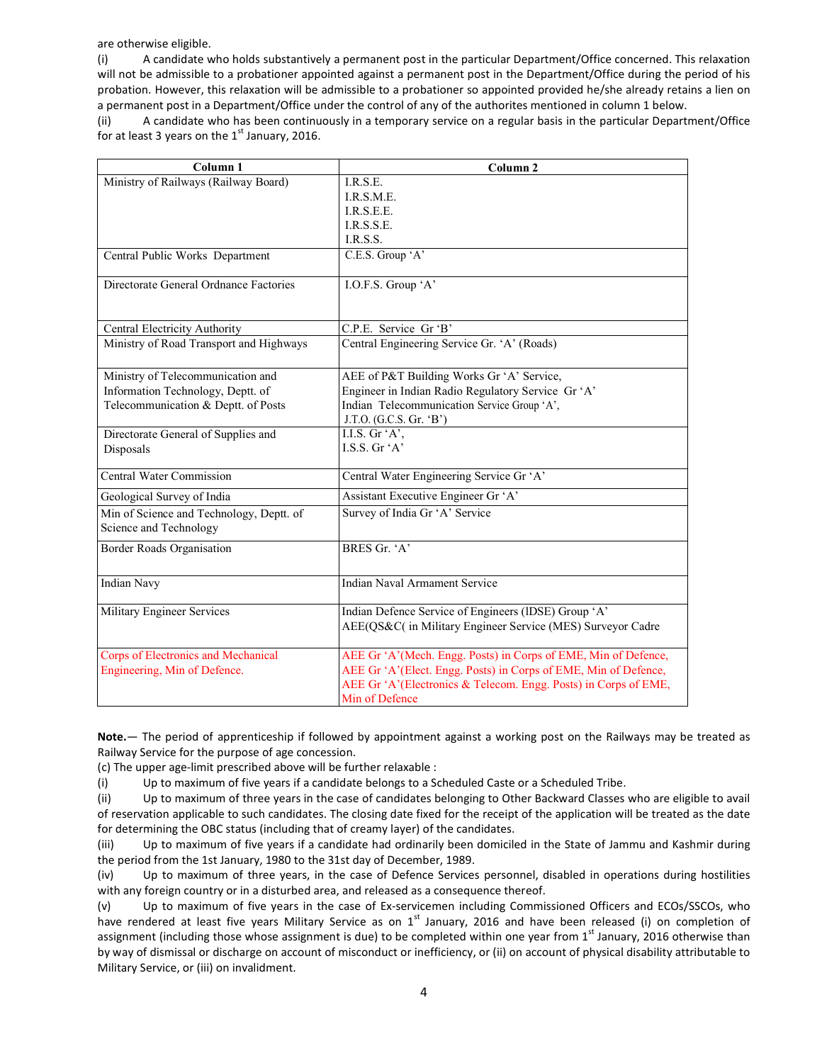are otherwise eligible.

(i) A candidate who holds substantively a permanent post in the particular Department/Office concerned. This relaxation will not be admissible to a probationer appointed against a permanent post in the Department/Office during the period of his probation. However, this relaxation will be admissible to a probationer so appointed provided he/she already retains a lien on a permanent post in a Department/Office under the control of any of the authorites mentioned in column 1 below.

(ii) A candidate who has been continuously in a temporary service on a regular basis in the particular Department/Office for at least 3 years on the  $1<sup>st</sup>$  January, 2016.

| Column <sub>1</sub>                      | Column <sub>2</sub>                                                                                                                                  |
|------------------------------------------|------------------------------------------------------------------------------------------------------------------------------------------------------|
| Ministry of Railways (Railway Board)     | I.R.S.E.                                                                                                                                             |
|                                          | I.R.S.M.E.                                                                                                                                           |
|                                          | I.R.S.E.E.                                                                                                                                           |
|                                          | I.R.S.S.E.                                                                                                                                           |
|                                          | I.R.S.S.                                                                                                                                             |
| Central Public Works Department          | C.E.S. Group 'A'                                                                                                                                     |
| Directorate General Ordnance Factories   | I.O.F.S. Group 'A'                                                                                                                                   |
| Central Electricity Authority            | C.P.E. Service Gr 'B'                                                                                                                                |
| Ministry of Road Transport and Highways  | Central Engineering Service Gr. 'A' (Roads)                                                                                                          |
| Ministry of Telecommunication and        | AEE of P&T Building Works Gr 'A' Service,                                                                                                            |
| Information Technology, Deptt. of        | Engineer in Indian Radio Regulatory Service Gr 'A'                                                                                                   |
| Telecommunication & Deptt. of Posts      | Indian Telecommunication Service Group 'A',                                                                                                          |
|                                          | J.T.O. (G.C.S. Gr. 'B')                                                                                                                              |
| Directorate General of Supplies and      | I.I.S. Gr $'A$ <sup>*</sup> ,                                                                                                                        |
| Disposals                                | LS.S. Gr 'A'                                                                                                                                         |
| <b>Central Water Commission</b>          | Central Water Engineering Service Gr 'A'                                                                                                             |
| Geological Survey of India               | Assistant Executive Engineer Gr 'A'                                                                                                                  |
| Min of Science and Technology, Deptt. of | Survey of India Gr 'A' Service                                                                                                                       |
| Science and Technology                   |                                                                                                                                                      |
| Border Roads Organisation                | BRES Gr. 'A'                                                                                                                                         |
| <b>Indian Navy</b>                       | <b>Indian Naval Armament Service</b>                                                                                                                 |
| Military Engineer Services               | Indian Defence Service of Engineers (IDSE) Group 'A'<br>AEE(QS&C( in Military Engineer Service (MES) Surveyor Cadre                                  |
| Corps of Electronics and Mechanical      | AEE Gr 'A'(Mech. Engg. Posts) in Corps of EME, Min of Defence,                                                                                       |
| Engineering, Min of Defence.             | AEE Gr 'A'(Elect. Engg. Posts) in Corps of EME, Min of Defence,<br>AEE Gr 'A'(Electronics & Telecom. Engg. Posts) in Corps of EME,<br>Min of Defence |

Note.— The period of apprenticeship if followed by appointment against a working post on the Railways may be treated as Railway Service for the purpose of age concession.

(c) The upper age-limit prescribed above will be further relaxable :

(i) Up to maximum of five years if a candidate belongs to a Scheduled Caste or a Scheduled Tribe.

(ii) Up to maximum of three years in the case of candidates belonging to Other Backward Classes who are eligible to avail of reservation applicable to such candidates. The closing date fixed for the receipt of the application will be treated as the date for determining the OBC status (including that of creamy layer) of the candidates.

(iii) Up to maximum of five years if a candidate had ordinarily been domiciled in the State of Jammu and Kashmir during the period from the 1st January, 1980 to the 31st day of December, 1989.

(iv) Up to maximum of three years, in the case of Defence Services personnel, disabled in operations during hostilities with any foreign country or in a disturbed area, and released as a consequence thereof.

(v) Up to maximum of five years in the case of Ex-servicemen including Commissioned Officers and ECOs/SSCOs, who have rendered at least five years Military Service as on  $1<sup>st</sup>$  January, 2016 and have been released (i) on completion of assignment (including those whose assignment is due) to be completed within one year from 1<sup>st</sup> January, 2016 otherwise than by way of dismissal or discharge on account of misconduct or inefficiency, or (ii) on account of physical disability attributable to Military Service, or (iii) on invalidment.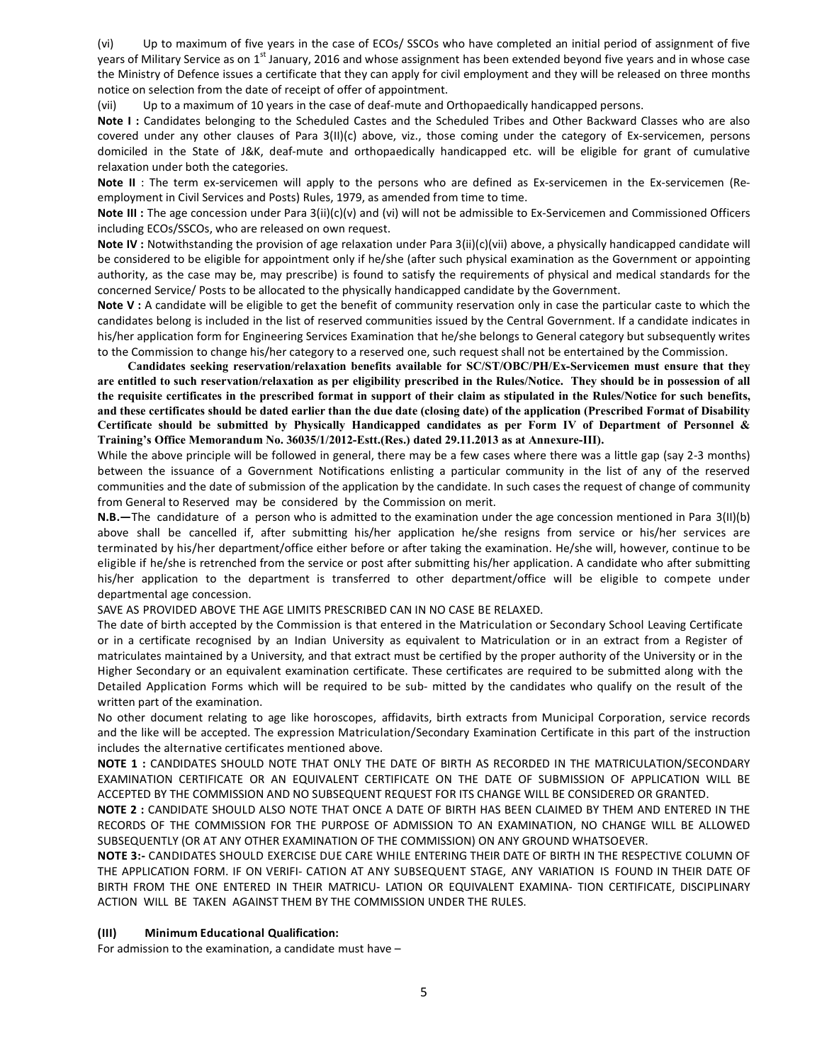(vi) Up to maximum of five years in the case of ECOs/ SSCOs who have completed an initial period of assignment of five years of Military Service as on 1<sup>st</sup> January, 2016 and whose assignment has been extended beyond five years and in whose case the Ministry of Defence issues a certificate that they can apply for civil employment and they will be released on three months notice on selection from the date of receipt of offer of appointment.

(vii) Up to a maximum of 10 years in the case of deaf-mute and Orthopaedically handicapped persons.

Note I: Candidates belonging to the Scheduled Castes and the Scheduled Tribes and Other Backward Classes who are also covered under any other clauses of Para 3(II)(c) above, viz., those coming under the category of Ex-servicemen, persons domiciled in the State of J&K, deaf-mute and orthopaedically handicapped etc. will be eligible for grant of cumulative relaxation under both the categories.

Note II : The term ex-servicemen will apply to the persons who are defined as Ex-servicemen in the Ex-servicemen (Reemployment in Civil Services and Posts) Rules, 1979, as amended from time to time.

Note III : The age concession under Para 3(ii)(c)(v) and (vi) will not be admissible to Ex-Servicemen and Commissioned Officers including ECOs/SSCOs, who are released on own request.

Note IV : Notwithstanding the provision of age relaxation under Para 3(ii)(c)(vii) above, a physically handicapped candidate will be considered to be eligible for appointment only if he/she (after such physical examination as the Government or appointing authority, as the case may be, may prescribe) is found to satisfy the requirements of physical and medical standards for the concerned Service/ Posts to be allocated to the physically handicapped candidate by the Government.

Note V : A candidate will be eligible to get the benefit of community reservation only in case the particular caste to which the candidates belong is included in the list of reserved communities issued by the Central Government. If a candidate indicates in his/her application form for Engineering Services Examination that he/she belongs to General category but subsequently writes to the Commission to change his/her category to a reserved one, such request shall not be entertained by the Commission.

Candidates seeking reservation/relaxation benefits available for SC/ST/OBC/PH/Ex-Servicemen must ensure that they are entitled to such reservation/relaxation as per eligibility prescribed in the Rules/Notice. They should be in possession of all the requisite certificates in the prescribed format in support of their claim as stipulated in the Rules/Notice for such benefits, and these certificates should be dated earlier than the due date (closing date) of the application (Prescribed Format of Disability Certificate should be submitted by Physically Handicapped candidates as per Form IV of Department of Personnel & Training's Office Memorandum No. 36035/1/2012-Estt.(Res.) dated 29.11.2013 as at Annexure-III).

While the above principle will be followed in general, there may be a few cases where there was a little gap (say 2-3 months) between the issuance of a Government Notifications enlisting a particular community in the list of any of the reserved communities and the date of submission of the application by the candidate. In such cases the request of change of community from General to Reserved may be considered by the Commission on merit.

N.B.—The candidature of a person who is admitted to the examination under the age concession mentioned in Para 3(II)(b) above shall be cancelled if, after submitting his/her application he/she resigns from service or his/her services are terminated by his/her department/office either before or after taking the examination. He/she will, however, continue to be eligible if he/she is retrenched from the service or post after submitting his/her application. A candidate who after submitting his/her application to the department is transferred to other department/office will be eligible to compete under departmental age concession.

SAVE AS PROVIDED ABOVE THE AGE LIMITS PRESCRIBED CAN IN NO CASE BE RELAXED.

The date of birth accepted by the Commission is that entered in the Matriculation or Secondary School Leaving Certificate or in a certificate recognised by an Indian University as equivalent to Matriculation or in an extract from a Register of matriculates maintained by a University, and that extract must be certified by the proper authority of the University or in the Higher Secondary or an equivalent examination certificate. These certificates are required to be submitted along with the Detailed Application Forms which will be required to be sub- mitted by the candidates who qualify on the result of the written part of the examination.

No other document relating to age like horoscopes, affidavits, birth extracts from Municipal Corporation, service records and the like will be accepted. The expression Matriculation/Secondary Examination Certificate in this part of the instruction includes the alternative certificates mentioned above.

NOTE 1 : CANDIDATES SHOULD NOTE THAT ONLY THE DATE OF BIRTH AS RECORDED IN THE MATRICULATION/SECONDARY EXAMINATION CERTIFICATE OR AN EQUIVALENT CERTIFICATE ON THE DATE OF SUBMISSION OF APPLICATION WILL BE ACCEPTED BY THE COMMISSION AND NO SUBSEQUENT REQUEST FOR ITS CHANGE WILL BE CONSIDERED OR GRANTED.

NOTE 2 : CANDIDATE SHOULD ALSO NOTE THAT ONCE A DATE OF BIRTH HAS BEEN CLAIMED BY THEM AND ENTERED IN THE RECORDS OF THE COMMISSION FOR THE PURPOSE OF ADMISSION TO AN EXAMINATION, NO CHANGE WILL BE ALLOWED SUBSEQUENTLY (OR AT ANY OTHER EXAMINATION OF THE COMMISSION) ON ANY GROUND WHATSOEVER.

NOTE 3:- CANDIDATES SHOULD EXERCISE DUE CARE WHILE ENTERING THEIR DATE OF BIRTH IN THE RESPECTIVE COLUMN OF THE APPLICATION FORM. IF ON VERIFI- CATION AT ANY SUBSEQUENT STAGE, ANY VARIATION IS FOUND IN THEIR DATE OF BIRTH FROM THE ONE ENTERED IN THEIR MATRICU- LATION OR EQUIVALENT EXAMINA- TION CERTIFICATE, DISCIPLINARY ACTION WILL BE TAKEN AGAINST THEM BY THE COMMISSION UNDER THE RULES.

## (III) Minimum Educational Qualification:

For admission to the examination, a candidate must have –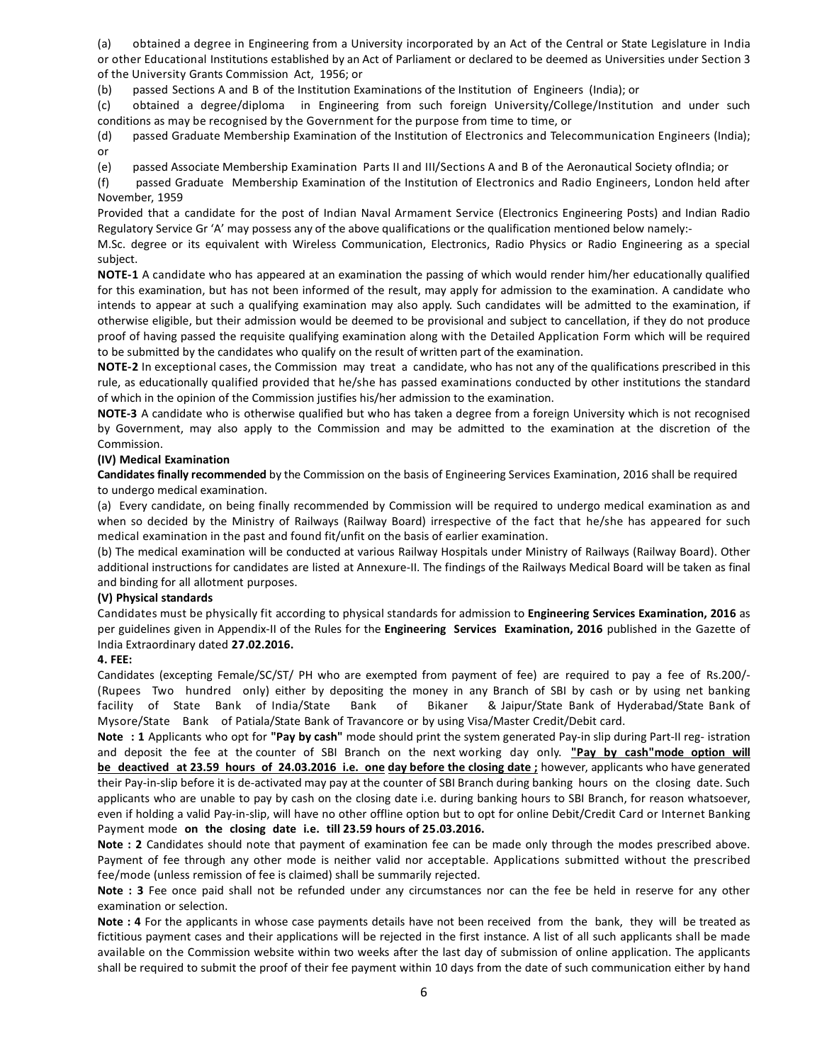(a) obtained a degree in Engineering from a University incorporated by an Act of the Central or State Legislature in India or other Educational Institutions established by an Act of Parliament or declared to be deemed as Universities under Section 3 of the University Grants Commission Act, 1956; or

(b) passed Sections A and B of the Institution Examinations of the Institution of Engineers (India); or

(c) obtained a degree/diploma in Engineering from such foreign University/College/Institution and under such conditions as may be recognised by the Government for the purpose from time to time, or

(d) passed Graduate Membership Examination of the Institution of Electronics and Telecommunication Engineers (India); or

(e) passed Associate Membership Examination Parts II and III/Sections A and B of the Aeronautical Society ofIndia; or

(f) passed Graduate Membership Examination of the Institution of Electronics and Radio Engineers, London held after November, 1959

Provided that a candidate for the post of Indian Naval Armament Service (Electronics Engineering Posts) and Indian Radio Regulatory Service Gr 'A' may possess any of the above qualifications or the qualification mentioned below namely:-

M.Sc. degree or its equivalent with Wireless Communication, Electronics, Radio Physics or Radio Engineering as a special subject.

NOTE-1 A candidate who has appeared at an examination the passing of which would render him/her educationally qualified for this examination, but has not been informed of the result, may apply for admission to the examination. A candidate who intends to appear at such a qualifying examination may also apply. Such candidates will be admitted to the examination, if otherwise eligible, but their admission would be deemed to be provisional and subject to cancellation, if they do not produce proof of having passed the requisite qualifying examination along with the Detailed Application Form which will be required to be submitted by the candidates who qualify on the result of written part of the examination.

NOTE-2 In exceptional cases, the Commission may treat a candidate, who has not any of the qualifications prescribed in this rule, as educationally qualified provided that he/she has passed examinations conducted by other institutions the standard of which in the opinion of the Commission justifies his/her admission to the examination.

NOTE-3 A candidate who is otherwise qualified but who has taken a degree from a foreign University which is not recognised by Government, may also apply to the Commission and may be admitted to the examination at the discretion of the Commission.

## (IV) Medical Examination

Candidates finally recommended by the Commission on the basis of Engineering Services Examination, 2016 shall be required to undergo medical examination.

(a) Every candidate, on being finally recommended by Commission will be required to undergo medical examination as and when so decided by the Ministry of Railways (Railway Board) irrespective of the fact that he/she has appeared for such medical examination in the past and found fit/unfit on the basis of earlier examination.

(b) The medical examination will be conducted at various Railway Hospitals under Ministry of Railways (Railway Board). Other additional instructions for candidates are listed at Annexure-II. The findings of the Railways Medical Board will be taken as final and binding for all allotment purposes.

## (V) Physical standards

Candidates must be physically fit according to physical standards for admission to Engineering Services Examination, 2016 as per guidelines given in Appendix-II of the Rules for the Engineering Services Examination, 2016 published in the Gazette of India Extraordinary dated 27.02.2016.

## 4. FEE:

Candidates (excepting Female/SC/ST/ PH who are exempted from payment of fee) are required to pay a fee of Rs.200/- (Rupees Two hundred only) either by depositing the money in any Branch of SBI by cash or by using net banking facility of State Bank of India/State Bank of Bikaner & Jaipur/State Bank of Hyderabad/State Bank of Mysore/State Bank of Patiala/State Bank of Travancore or by using Visa/Master Credit/Debit card.

Note : 1 Applicants who opt for "Pay by cash" mode should print the system generated Pay-in slip during Part-II reg- istration and deposit the fee at the counter of SBI Branch on the next working day only. "Pay by cash"mode option will be deactived at 23.59 hours of 24.03.2016 i.e. one day before the closing date ; however, applicants who have generated their Pay-in-slip before it is de-activated may pay at the counter of SBI Branch during banking hours on the closing date. Such applicants who are unable to pay by cash on the closing date i.e. during banking hours to SBI Branch, for reason whatsoever, even if holding a valid Pay-in-slip, will have no other offline option but to opt for online Debit/Credit Card or Internet Banking Payment mode on the closing date i.e. till 23.59 hours of 25.03.2016.

Note : 2 Candidates should note that payment of examination fee can be made only through the modes prescribed above. Payment of fee through any other mode is neither valid nor acceptable. Applications submitted without the prescribed fee/mode (unless remission of fee is claimed) shall be summarily rejected.

Note : 3 Fee once paid shall not be refunded under any circumstances nor can the fee be held in reserve for any other examination or selection.

Note : 4 For the applicants in whose case payments details have not been received from the bank, they will be treated as fictitious payment cases and their applications will be rejected in the first instance. A list of all such applicants shall be made available on the Commission website within two weeks after the last day of submission of online application. The applicants shall be required to submit the proof of their fee payment within 10 days from the date of such communication either by hand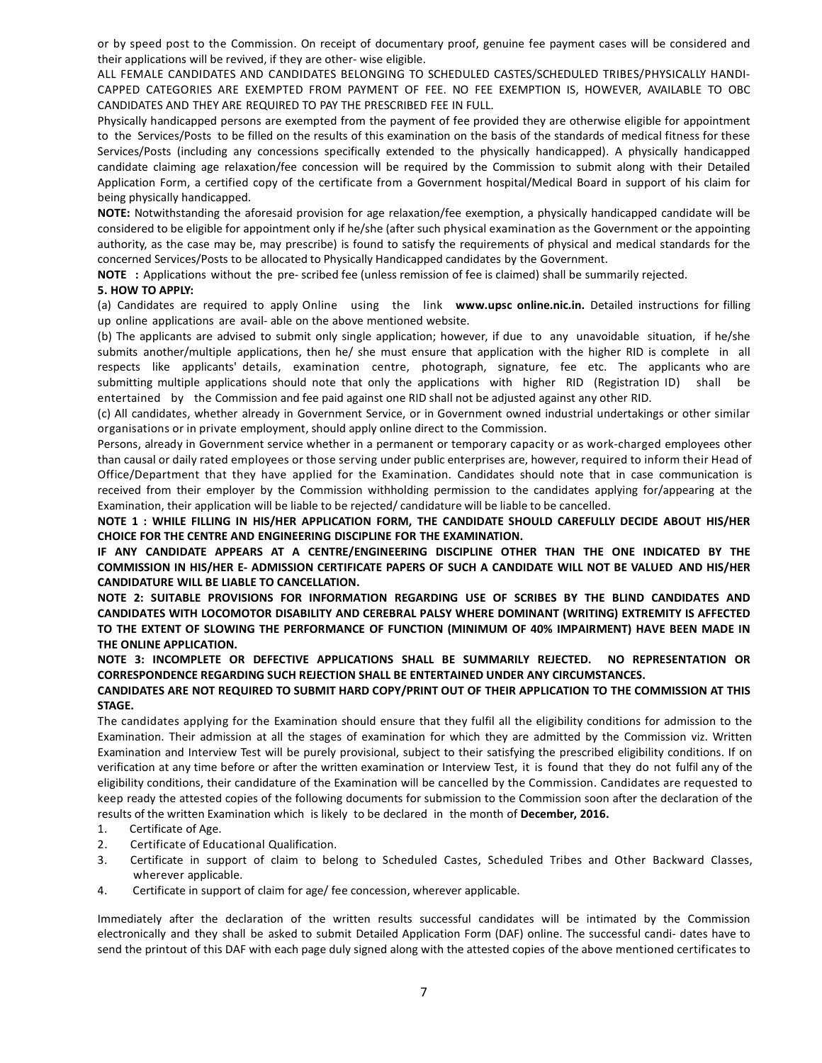or by speed post to the Commission. On receipt of documentary proof, genuine fee payment cases will be considered and their applications will be revived, if they are other- wise eligible.

ALL FEMALE CANDIDATES AND CANDIDATES BELONGING TO SCHEDULED CASTES/SCHEDULED TRIBES/PHYSICALLY HANDI-CAPPED CATEGORIES ARE EXEMPTED FROM PAYMENT OF FEE. NO FEE EXEMPTION IS, HOWEVER, AVAILABLE TO OBC CANDIDATES AND THEY ARE REQUIRED TO PAY THE PRESCRIBED FEE IN FULL.

Physically handicapped persons are exempted from the payment of fee provided they are otherwise eligible for appointment to the Services/Posts to be filled on the results of this examination on the basis of the standards of medical fitness for these Services/Posts (including any concessions specifically extended to the physically handicapped). A physically handicapped candidate claiming age relaxation/fee concession will be required by the Commission to submit along with their Detailed Application Form, a certified copy of the certificate from a Government hospital/Medical Board in support of his claim for being physically handicapped.

NOTE: Notwithstanding the aforesaid provision for age relaxation/fee exemption, a physically handicapped candidate will be considered to be eligible for appointment only if he/she (after such physical examination as the Government or the appointing authority, as the case may be, may prescribe) is found to satisfy the requirements of physical and medical standards for the concerned Services/Posts to be allocated to Physically Handicapped candidates by the Government.

NOTE : Applications without the pre- scribed fee (unless remission of fee is claimed) shall be summarily rejected.

#### 5. HOW TO APPLY:

(a) Candidates are required to apply Online using the link www.upsc online.nic.in. Detailed instructions for filling up online applications are avail- able on the above mentioned website.

(b) The applicants are advised to submit only single application; however, if due to any unavoidable situation, if he/she submits another/multiple applications, then he/ she must ensure that application with the higher RID is complete in all respects like applicants' details, examination centre, photograph, signature, fee etc. The applicants who are submitting multiple applications should note that only the applications with higher RID (Registration ID) shall be entertained by the Commission and fee paid against one RID shall not be adjusted against any other RID.

(c) All candidates, whether already in Government Service, or in Government owned industrial undertakings or other similar organisations or in private employment, should apply online direct to the Commission.

Persons, already in Government service whether in a permanent or temporary capacity or as work-charged employees other than causal or daily rated employees or those serving under public enterprises are, however, required to inform their Head of Office/Department that they have applied for the Examination. Candidates should note that in case communication is received from their employer by the Commission withholding permission to the candidates applying for/appearing at the Examination, their application will be liable to be rejected/ candidature will be liable to be cancelled.

NOTE 1 : WHILE FILLING IN HIS/HER APPLICATION FORM, THE CANDIDATE SHOULD CAREFULLY DECIDE ABOUT HIS/HER CHOICE FOR THE CENTRE AND ENGINEERING DISCIPLINE FOR THE EXAMINATION.

IF ANY CANDIDATE APPEARS AT A CENTRE/ENGINEERING DISCIPLINE OTHER THAN THE ONE INDICATED BY THE COMMISSION IN HIS/HER E- ADMISSION CERTIFICATE PAPERS OF SUCH A CANDIDATE WILL NOT BE VALUED AND HIS/HER CANDIDATURE WILL BE LIABLE TO CANCELLATION.

NOTE 2: SUITABLE PROVISIONS FOR INFORMATION REGARDING USE OF SCRIBES BY THE BLIND CANDIDATES AND CANDIDATES WITH LOCOMOTOR DISABILITY AND CEREBRAL PALSY WHERE DOMINANT (WRITING) EXTREMITY IS AFFECTED TO THE EXTENT OF SLOWING THE PERFORMANCE OF FUNCTION (MINIMUM OF 40% IMPAIRMENT) HAVE BEEN MADE IN THE ONLINE APPLICATION.

NOTE 3: INCOMPLETE OR DEFECTIVE APPLICATIONS SHALL BE SUMMARILY REJECTED. NO REPRESENTATION OR CORRESPONDENCE REGARDING SUCH REJECTION SHALL BE ENTERTAINED UNDER ANY CIRCUMSTANCES.

## CANDIDATES ARE NOT REQUIRED TO SUBMIT HARD COPY/PRINT OUT OF THEIR APPLICATION TO THE COMMISSION AT THIS STAGE.

The candidates applying for the Examination should ensure that they fulfil all the eligibility conditions for admission to the Examination. Their admission at all the stages of examination for which they are admitted by the Commission viz. Written Examination and Interview Test will be purely provisional, subject to their satisfying the prescribed eligibility conditions. If on verification at any time before or after the written examination or Interview Test, it is found that they do not fulfil any of the eligibility conditions, their candidature of the Examination will be cancelled by the Commission. Candidates are requested to keep ready the attested copies of the following documents for submission to the Commission soon after the declaration of the results of the written Examination which is likely to be declared in the month of December, 2016.

- 1. Certificate of Age.
- 2. Certificate of Educational Qualification.
- 3. Certificate in support of claim to belong to Scheduled Castes, Scheduled Tribes and Other Backward Classes, wherever applicable.
- 4. Certificate in support of claim for age/ fee concession, wherever applicable.

Immediately after the declaration of the written results successful candidates will be intimated by the Commission electronically and they shall be asked to submit Detailed Application Form (DAF) online. The successful candi- dates have to send the printout of this DAF with each page duly signed along with the attested copies of the above mentioned certificates to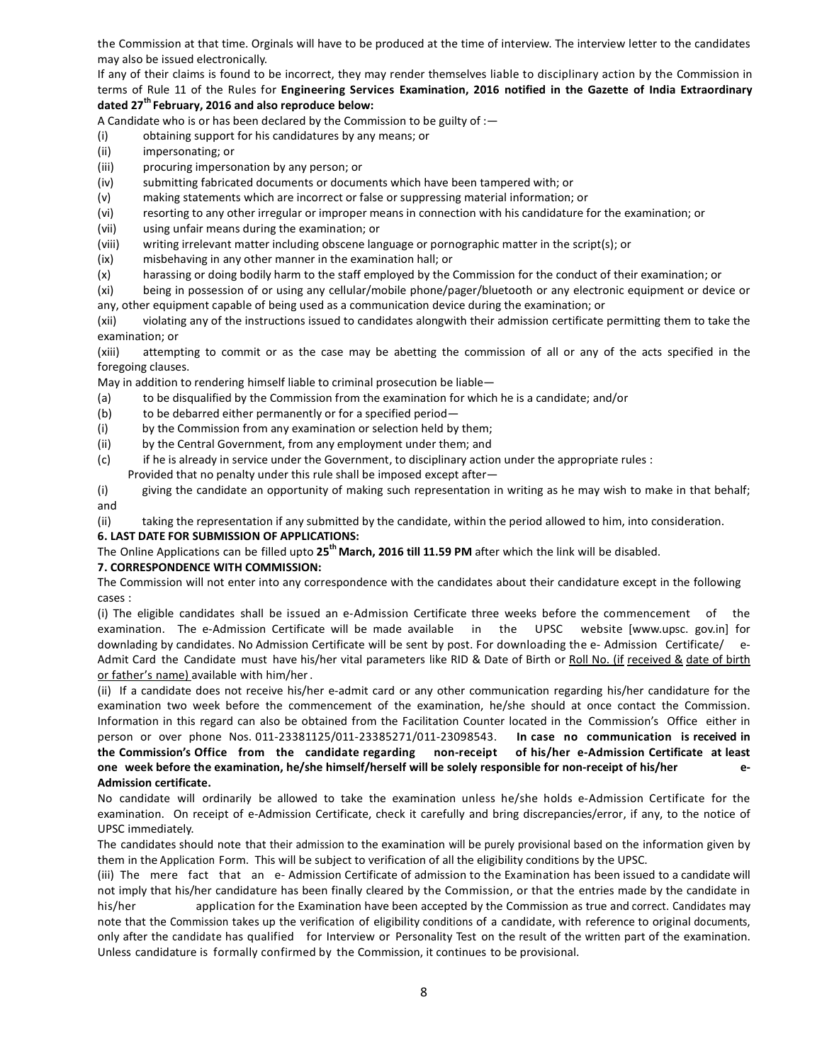the Commission at that time. Orginals will have to be produced at the time of interview. The interview letter to the candidates may also be issued electronically.

If any of their claims is found to be incorrect, they may render themselves liable to disciplinary action by the Commission in terms of Rule 11 of the Rules for Engineering Services Examination, 2016 notified in the Gazette of India Extraordinary dated 27<sup>th</sup> February, 2016 and also reproduce below:

A Candidate who is or has been declared by the Commission to be guilty of :—

- (i) obtaining support for his candidatures by any means; or
- (ii) impersonating; or
- (iii) procuring impersonation by any person; or
- (iv) submitting fabricated documents or documents which have been tampered with; or
- (v) making statements which are incorrect or false or suppressing material information; or
- (vi) resorting to any other irregular or improper means in connection with his candidature for the examination; or
- (vii) using unfair means during the examination; or
- (viii) writing irrelevant matter including obscene language or pornographic matter in the script(s); or
- (ix) misbehaving in any other manner in the examination hall; or
- (x) harassing or doing bodily harm to the staff employed by the Commission for the conduct of their examination; or

(xi) being in possession of or using any cellular/mobile phone/pager/bluetooth or any electronic equipment or device or any, other equipment capable of being used as a communication device during the examination; or

(xii) violating any of the instructions issued to candidates alongwith their admission certificate permitting them to take the examination; or

(xiii) attempting to commit or as the case may be abetting the commission of all or any of the acts specified in the foregoing clauses.

May in addition to rendering himself liable to criminal prosecution be liable—

- (a) to be disqualified by the Commission from the examination for which he is a candidate; and/or
- (b) to be debarred either permanently or for a specified period—
- (i) by the Commission from any examination or selection held by them;
- (ii) by the Central Government, from any employment under them; and
- (c) if he is already in service under the Government, to disciplinary action under the appropriate rules :
- Provided that no penalty under this rule shall be imposed except after—

(i) giving the candidate an opportunity of making such representation in writing as he may wish to make in that behalf; and

(ii) taking the representation if any submitted by the candidate, within the period allowed to him, into consideration.

## 6. LAST DATE FOR SUBMISSION OF APPLICATIONS:

The Online Applications can be filled upto 25<sup>th</sup> March, 2016 till 11.59 PM after which the link will be disabled.

## 7. CORRESPONDENCE WITH COMMISSION:

The Commission will not enter into any correspondence with the candidates about their candidature except in the following cases :

(i) The eligible candidates shall be issued an e-Admission Certificate three weeks before the commencement of the examination. The e-Admission Certificate will be made available in the UPSC website [www.upsc. gov.in] for downlading by candidates. No Admission Certificate will be sent by post. For downloading the e- Admission Certificate/ e-Admit Card the Candidate must have his/her vital parameters like RID & Date of Birth or Roll No. (if received & date of birth or father's name) available with him/her.

(ii) If a candidate does not receive his/her e-admit card or any other communication regarding his/her candidature for the examination two week before the commencement of the examination, he/she should at once contact the Commission. Information in this regard can also be obtained from the Facilitation Counter located in the Commission's Office either in person or over phone Nos. 011-23381125/011-23385271/011-23098543. In case no communication is received in the Commission's Office from the candidate regarding non-receipt of his/her e-Admission Certificate at least one week before the examination, he/she himself/herself will be solely responsible for non-receipt of his/her e-Admission certificate.

No candidate will ordinarily be allowed to take the examination unless he/she holds e-Admission Certificate for the examination. On receipt of e-Admission Certificate, check it carefully and bring discrepancies/error, if any, to the notice of UPSC immediately.

The candidates should note that their admission to the examination will be purely provisional based on the information given by them in the Application Form. This will be subject to verification of all the eligibility conditions by the UPSC.

(iii) The mere fact that an e- Admission Certificate of admission to the Examination has been issued to a candidate will not imply that his/her candidature has been finally cleared by the Commission, or that the entries made by the candidate in his/her application for the Examination have been accepted by the Commission as true and correct. Candidates may note that the Commission takes up the verification of eligibility conditions of a candidate, with reference to original documents, only after the candidate has qualified for Interview or Personality Test on the result of the written part of the examination. Unless candidature is formally confirmed by the Commission, it continues to be provisional.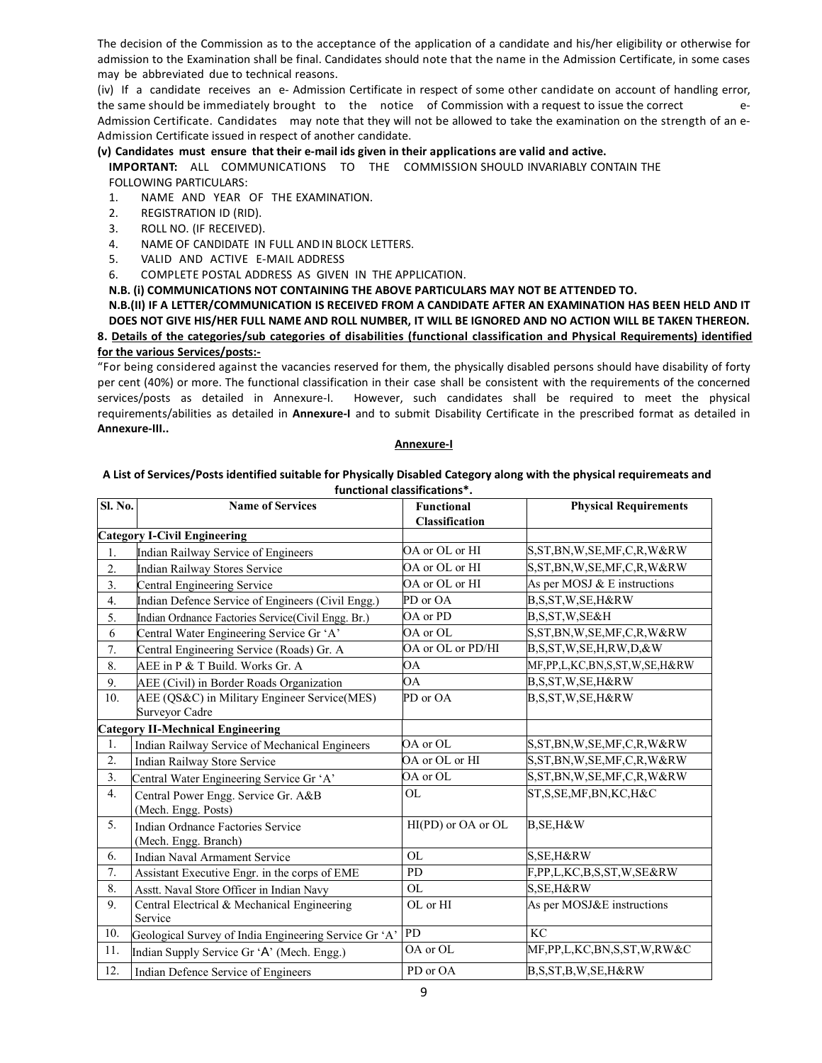The decision of the Commission as to the acceptance of the application of a candidate and his/her eligibility or otherwise for admission to the Examination shall be final. Candidates should note that the name in the Admission Certificate, in some cases may be abbreviated due to technical reasons.

(iv) If a candidate receives an e- Admission Certificate in respect of some other candidate on account of handling error, the same should be immediately brought to the notice of Commission with a request to issue the correct e-Admission Certificate. Candidates may note that they will not be allowed to take the examination on the strength of an e-Admission Certificate issued in respect of another candidate.

## (v) Candidates must ensure that their e-mail ids given in their applications are valid and active.

IMPORTANT: ALL COMMUNICATIONS TO THE COMMISSION SHOULD INVARIABLY CONTAIN THE FOLLOWING PARTICULARS:

- 1. NAME AND YEAR OF THE EXAMINATION.
- 2. REGISTRATION ID (RID).
- 3. ROLL NO. (IF RECEIVED).
- 4. NAME OF CANDIDATE IN FULL ANDIN BLOCK LETTERS.
- 5. VALID AND ACTIVE E-MAIL ADDRESS
- 6. COMPLETE POSTAL ADDRESS AS GIVEN IN THE APPLICATION.
- N.B. (i) COMMUNICATIONS NOT CONTAINING THE ABOVE PARTICULARS MAY NOT BE ATTENDED TO.

## N.B.(II) IF A LETTER/COMMUNICATION IS RECEIVED FROM A CANDIDATE AFTER AN EXAMINATION HAS BEEN HELD AND IT DOES NOT GIVE HIS/HER FULL NAME AND ROLL NUMBER, IT WILL BE IGNORED AND NO ACTION WILL BE TAKEN THEREON. 8. Details of the categories/sub categories of disabilities (functional classification and Physical Requirements) identified for the various Services/posts:-

"For being considered against the vacancies reserved for them, the physically disabled persons should have disability of forty per cent (40%) or more. The functional classification in their case shall be consistent with the requirements of the concerned services/posts as detailed in Annexure-I. However, such candidates shall be required to meet the physical requirements/abilities as detailed in Annexure-I and to submit Disability Certificate in the prescribed format as detailed in Annexure-III..

#### Annexure-I

#### A List of Services/Posts identified suitable for Physically Disabled Category along with the physical requiremeats and functional classifications\*.

| Sl. No.          | <b>Name of Services</b>                                        | <b>Functional</b><br>Classification | <b>Physical Requirements</b>     |
|------------------|----------------------------------------------------------------|-------------------------------------|----------------------------------|
|                  | <b>Category I-Civil Engineering</b>                            |                                     |                                  |
| 1.               | Indian Railway Service of Engineers                            | OA or OL or HI                      | S, ST, BN, W, SE, MF, C, R, W&RW |
| $\overline{2}$ . | <b>Indian Railway Stores Service</b>                           | OA or OL or HI                      | S, ST, BN, W, SE, MF, C, R, W&RW |
| 3.               | Central Engineering Service                                    | OA or OL or HI                      | As per MOSJ $&$ E instructions   |
| 4.               | Indian Defence Service of Engineers (Civil Engg.)              | PD or OA                            | B,S,ST,W,SE,H&RW                 |
| 5.               | Indian Ordnance Factories Service(Civil Engg. Br.)             | OA or PD                            | B, S, ST, W, SE&H                |
| 6                | Central Water Engineering Service Gr 'A'                       | OA or OL                            | S, ST, BN, W, SE, MF, C, R, W&RW |
| 7.               | Central Engineering Service (Roads) Gr. A                      | OA or OL or PD/HI                   | B,S,ST,W,SE,H,RW,D,&W            |
| 8.               | AEE in P & T Build. Works Gr. A                                | ΟA                                  | MF,PP,L,KC,BN,S,ST,W,SE,H&RW     |
| 9.               | AEE (Civil) in Border Roads Organization                       | <b>OA</b>                           | B,S,ST,W,SE,H&RW                 |
| 10.              | AEE (QS&C) in Military Engineer Service(MES)<br>Surveyor Cadre | PD or OA                            | B.S.ST.W.SE.H&RW                 |
|                  | <b>Category II-Mechnical Engineering</b>                       |                                     |                                  |
| 1.               | Indian Railway Service of Mechanical Engineers                 | OA or OL                            | S, ST, BN, W, SE, MF, C, R, W&RW |
| $\overline{2}$ . | Indian Railway Store Service                                   | OA or OL or HI                      | S, ST, BN, W, SE, MF, C, R, W&RW |
| 3.               | Central Water Engineering Service Gr 'A'                       | OA or OL                            | S, ST, BN, W, SE, MF, C, R, W&RW |
| 4.               | Central Power Engg. Service Gr. A&B<br>(Mech. Engg. Posts)     | <b>OL</b>                           | ST, S, SE, MF, BN, KC, H&C       |
| $\overline{5}$ . | Indian Ordnance Factories Service<br>(Mech. Engg. Branch)      | HI(PD) or OA or OL                  | B, SE, H&W                       |
| 6.               | <b>Indian Naval Armament Service</b>                           | <b>OL</b>                           | S, SE, H&RW                      |
| 7.               | Assistant Executive Engr. in the corps of EME                  | <b>PD</b>                           | F,PP,L,KC,B,S,ST,W,SE&RW         |
| 8.               | Asstt. Naval Store Officer in Indian Navy                      | <b>OL</b>                           | S, SE, H&RW                      |
| 9.               | Central Electrical & Mechanical Engineering<br>Service         | OL or HI                            | As per MOSJ&E instructions       |
| 10.              | Geological Survey of India Engineering Service Gr 'A'          | <b>PD</b>                           | KC                               |
| 11.              | Indian Supply Service Gr 'A' (Mech. Engg.)                     | OA or OL                            | MF,PP,L,KC,BN,S,ST,W,RW&C        |
| 12.              | Indian Defence Service of Engineers                            | PD or OA                            | B,S,ST,B,W,SE,H&RW               |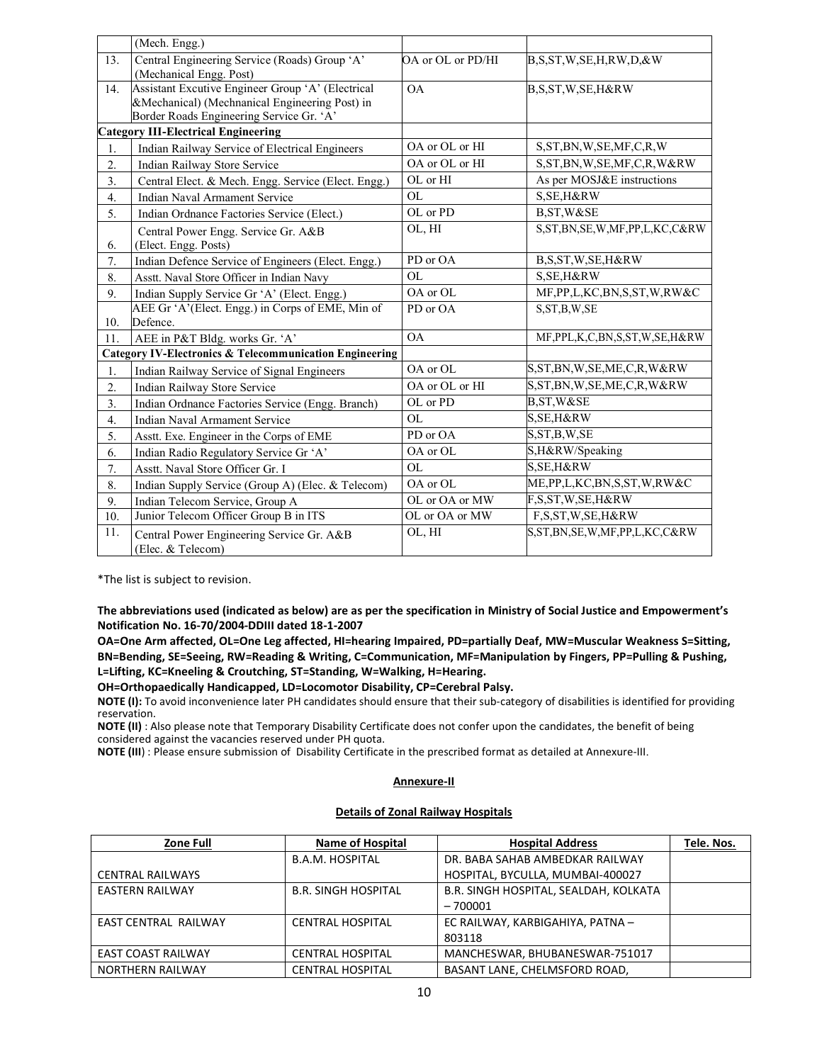|                  | (Mech. Engg.)                                                                                                                                   |                   |                                       |
|------------------|-------------------------------------------------------------------------------------------------------------------------------------------------|-------------------|---------------------------------------|
| 13.              | Central Engineering Service (Roads) Group 'A'<br>(Mechanical Engg. Post)                                                                        | OA or OL or PD/HI | B.S.ST.W.SE.H.RW.D.&W                 |
| 14.              | Assistant Excutive Engineer Group 'A' (Electrical<br>&Mechanical) (Mechnanical Engineering Post) in<br>Border Roads Engineering Service Gr. 'A' | OA                | B,S,ST,W,SE,H&RW                      |
|                  | <b>Category III-Electrical Engineering</b>                                                                                                      |                   |                                       |
| 1.               | Indian Railway Service of Electrical Engineers                                                                                                  | OA or OL or HI    | S, ST, BN, W, SE, MF, C, R, W         |
| $\overline{2}$ . | <b>Indian Railway Store Service</b>                                                                                                             | OA or OL or HI    | S, ST, BN, W, SE, MF, C, R, W&RW      |
| 3.               | Central Elect. & Mech. Engg. Service (Elect. Engg.)                                                                                             | OL or HI          | As per MOSJ&E instructions            |
| 4.               | <b>Indian Naval Armament Service</b>                                                                                                            | <b>OL</b>         | S, SE, H&RW                           |
| 5.               | Indian Ordnance Factories Service (Elect.)                                                                                                      | OL or PD          | B, ST, W&SE                           |
| 6.               | Central Power Engg. Service Gr. A&B<br>(Elect. Engg. Posts)                                                                                     | OL, HI            | S, ST, BN, SE, W, MF, PP, L, KC, C&RW |
| 7.               | Indian Defence Service of Engineers (Elect. Engg.)                                                                                              | PD or OA          | B,S,ST,W,SE,H&RW                      |
| 8.               | Asstt. Naval Store Officer in Indian Navy                                                                                                       | <b>OL</b>         | S, SE, H&RW                           |
| 9.               | Indian Supply Service Gr 'A' (Elect. Engg.)                                                                                                     | OA or OL          | MF, PP, L, KC, BN, S, ST, W, RW&C     |
| 10.              | AEE Gr 'A'(Elect. Engg.) in Corps of EME, Min of<br>Defence.                                                                                    | PD or OA          | S, ST, B, W, SE                       |
| 11.              | AEE in P&T Bldg. works Gr. 'A'                                                                                                                  | <b>OA</b>         | MF, PPL, K, C, BN, S, ST, W, SE, H&RW |
|                  | <b>Category IV-Electronics &amp; Telecommunication Engineering</b>                                                                              |                   |                                       |
| 1.               | Indian Railway Service of Signal Engineers                                                                                                      | OA or OL          | S, ST, BN, W, SE, ME, C, R, W&RW      |
| $\overline{2}$ . | Indian Railway Store Service                                                                                                                    | OA or OL or HI    | S, ST, BN, W, SE, ME, C, R, W&RW      |
| 3.               | Indian Ordnance Factories Service (Engg. Branch)                                                                                                | OL or PD          | B, ST, W&SE                           |
| 4.               | Indian Naval Armament Service                                                                                                                   | <b>OL</b>         | S, SE, H&RW                           |
| 5.               | Asstt. Exe. Engineer in the Corps of EME                                                                                                        | PD or OA          | S, ST, B, W, SE                       |
| 6.               | Indian Radio Regulatory Service Gr 'A'                                                                                                          | OA or OL          | S,H&RW/Speaking                       |
| 7.               | Asstt. Naval Store Officer Gr. I                                                                                                                | <b>OL</b>         | S, SE, H&RW                           |
| 8.               | Indian Supply Service (Group A) (Elec. & Telecom)                                                                                               | OA or OL          | ME, PP, L, KC, BN, S, ST, W, RW & C   |
| 9.               | Indian Telecom Service, Group A                                                                                                                 | OL or OA or MW    | F,S,ST,W,SE,H&RW                      |
| 10.              | Junior Telecom Officer Group B in ITS                                                                                                           | OL or OA or MW    | F,S,ST,W,SE,H&RW                      |
| 11.              | Central Power Engineering Service Gr. A&B<br>(Elec. & Telecom)                                                                                  | OL, HI            | S, ST, BN, SE, W, MF, PP, L, KC, C&RW |

\*The list is subject to revision.

The abbreviations used (indicated as below) are as per the specification in Ministry of Social Justice and Empowerment's Notification No. 16-70/2004-DDIII dated 18-1-2007

OA=One Arm affected, OL=One Leg affected, HI=hearing Impaired, PD=partially Deaf, MW=Muscular Weakness S=Sitting, BN=Bending, SE=Seeing, RW=Reading & Writing, C=Communication, MF=Manipulation by Fingers, PP=Pulling & Pushing, L=Lifting, KC=Kneeling & Croutching, ST=Standing, W=Walking, H=Hearing.

OH=Orthopaedically Handicapped, LD=Locomotor Disability, CP=Cerebral Palsy.

NOTE (I): To avoid inconvenience later PH candidates should ensure that their sub-category of disabilities is identified for providing reservation.

NOTE (II) : Also please note that Temporary Disability Certificate does not confer upon the candidates, the benefit of being considered against the vacancies reserved under PH quota.

NOTE (III) : Please ensure submission of Disability Certificate in the prescribed format as detailed at Annexure-III.

#### Annexure-II

## Details of Zonal Railway Hospitals

| Zone Full                   | <b>Name of Hospital</b>    | <b>Hospital Address</b>               | Tele. Nos. |
|-----------------------------|----------------------------|---------------------------------------|------------|
|                             | <b>B.A.M. HOSPITAL</b>     | DR. BABA SAHAB AMBEDKAR RAILWAY       |            |
| <b>CENTRAL RAILWAYS</b>     |                            | HOSPITAL, BYCULLA, MUMBAI-400027      |            |
| <b>EASTERN RAILWAY</b>      | <b>B.R. SINGH HOSPITAL</b> | B.R. SINGH HOSPITAL, SEALDAH, KOLKATA |            |
|                             |                            | $-700001$                             |            |
| <b>EAST CENTRAL RAILWAY</b> | <b>CENTRAL HOSPITAL</b>    | EC RAILWAY, KARBIGAHIYA, PATNA -      |            |
|                             |                            | 803118                                |            |
| <b>EAST COAST RAILWAY</b>   | <b>CENTRAL HOSPITAL</b>    | MANCHESWAR, BHUBANESWAR-751017        |            |
| <b>NORTHERN RAILWAY</b>     | <b>CENTRAL HOSPITAL</b>    | BASANT LANE, CHELMSFORD ROAD,         |            |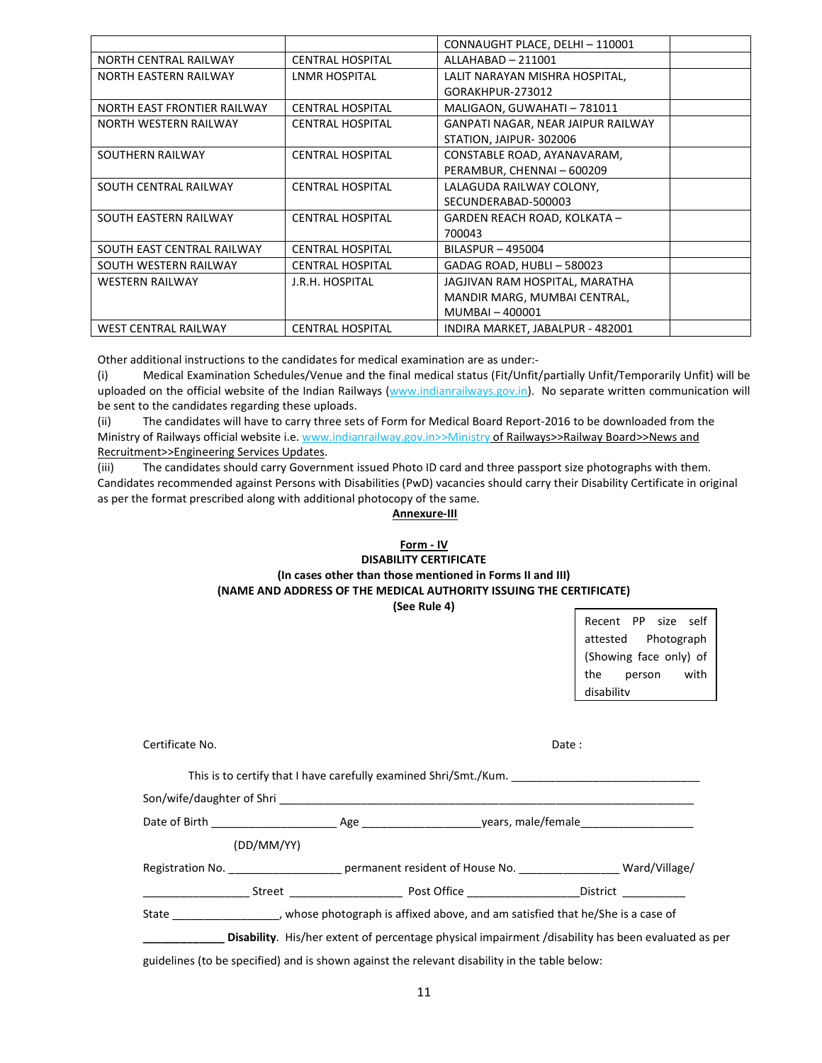|                              |                         | CONNAUGHT PLACE, DELHI - 110001    |  |
|------------------------------|-------------------------|------------------------------------|--|
| <b>NORTH CENTRAL RAILWAY</b> | <b>CENTRAL HOSPITAL</b> | ALLAHABAD - 211001                 |  |
| <b>NORTH EASTERN RAILWAY</b> | LNMR HOSPITAL           | LALIT NARAYAN MISHRA HOSPITAL,     |  |
|                              |                         | GORAKHPUR-273012                   |  |
| NORTH EAST FRONTIER RAILWAY  | <b>CENTRAL HOSPITAL</b> | MALIGAON, GUWAHATI - 781011        |  |
| NORTH WESTERN RAILWAY        | <b>CENTRAL HOSPITAL</b> | GANPATI NAGAR, NEAR JAIPUR RAILWAY |  |
|                              |                         | STATION, JAIPUR-302006             |  |
| SOUTHERN RAILWAY             | <b>CENTRAL HOSPITAL</b> | CONSTABLE ROAD, AYANAVARAM,        |  |
|                              |                         | PERAMBUR, CHENNAI - 600209         |  |
| SOUTH CENTRAL RAILWAY        | <b>CENTRAL HOSPITAL</b> | LALAGUDA RAILWAY COLONY,           |  |
|                              |                         | SECUNDERABAD-500003                |  |
| SOUTH EASTERN RAILWAY        | <b>CENTRAL HOSPITAL</b> | GARDEN REACH ROAD, KOLKATA -       |  |
|                              |                         | 700043                             |  |
| SOUTH EAST CENTRAL RAILWAY   | <b>CENTRAL HOSPITAL</b> | BILASPUR - 495004                  |  |
| SOUTH WESTERN RAILWAY        | <b>CENTRAL HOSPITAL</b> | GADAG ROAD, HUBLI-580023           |  |
| <b>WESTERN RAILWAY</b>       | J.R.H. HOSPITAL         | JAGJIVAN RAM HOSPITAL, MARATHA     |  |
|                              |                         | MANDIR MARG, MUMBAI CENTRAL,       |  |
|                              |                         | MUMBAI - 400001                    |  |
| <b>WEST CENTRAL RAILWAY</b>  | <b>CENTRAL HOSPITAL</b> | INDIRA MARKET, JABALPUR - 482001   |  |

Other additional instructions to the candidates for medical examination are as under:-

(i) Medical Examination Schedules/Venue and the final medical status (Fit/Unfit/partially Unfit/Temporarily Unfit) will be uploaded on the official website of the Indian Railways (www.indianrailways.gov.in). No separate written communication will be sent to the candidates regarding these uploads.

(ii) The candidates will have to carry three sets of Form for Medical Board Report-2016 to be downloaded from the Ministry of Railways official website i.e. www.indianrailway.gov.in>>Ministry of Railways>>Railway Board>>News and Recruitment>>Engineering Services Updates.

(iii) The candidates should carry Government issued Photo ID card and three passport size photographs with them. Candidates recommended against Persons with Disabilities (PwD) vacancies should carry their Disability Certificate in original as per the format prescribed along with additional photocopy of the same.

## Annexure-III

## Form - IV DISABILITY CERTIFICATE (In cases other than those mentioned in Forms II and III) (NAME AND ADDRESS OF THE MEDICAL AUTHORITY ISSUING THE CERTIFICATE) (See Rule 4)

Recent PP size self attested Photograph (Showing face only) of the person with disability

| Certificate No. |                                                                                                               | Date: |
|-----------------|---------------------------------------------------------------------------------------------------------------|-------|
|                 | This is to certify that I have carefully examined Shri/Smt./Kum.                                              |       |
|                 |                                                                                                               |       |
|                 |                                                                                                               |       |
| (DD/MM/YY)      |                                                                                                               |       |
|                 |                                                                                                               |       |
|                 |                                                                                                               |       |
|                 | State _________________________, whose photograph is affixed above, and am satisfied that he/She is a case of |       |
|                 | <b>Disability.</b> His/her extent of percentage physical impairment /disability has been evaluated as per     |       |

guidelines (to be specified) and is shown against the relevant disability in the table below: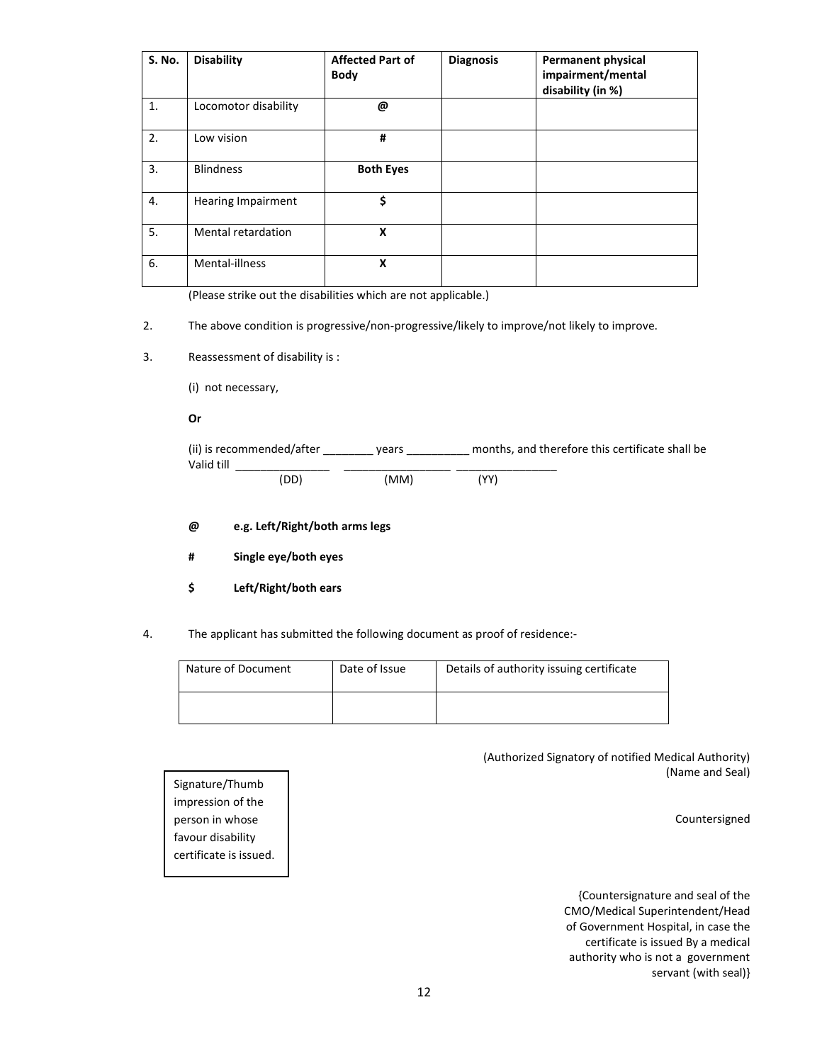| <b>S. No.</b> | <b>Disability</b>         | <b>Affected Part of</b><br><b>Body</b> | <b>Diagnosis</b> | <b>Permanent physical</b><br>impairment/mental<br>disability (in %) |
|---------------|---------------------------|----------------------------------------|------------------|---------------------------------------------------------------------|
| 1.            | Locomotor disability      | @                                      |                  |                                                                     |
| 2.            | Low vision                | #                                      |                  |                                                                     |
| 3.            | <b>Blindness</b>          | <b>Both Eyes</b>                       |                  |                                                                     |
| 4.            | <b>Hearing Impairment</b> | \$                                     |                  |                                                                     |
| 5.            | Mental retardation        | X                                      |                  |                                                                     |
| 6.            | Mental-illness            | X                                      |                  |                                                                     |

(Please strike out the disabilities which are not applicable.)

## 2. The above condition is progressive/non-progressive/likely to improve/not likely to improve.

- 3. Reassessment of disability is :
	- (i) not necessary,

#### Or

| (ii) is recommended/after | vears | months, and therefore this certificate shall be |  |
|---------------------------|-------|-------------------------------------------------|--|
| Valid till                |       |                                                 |  |
| (DD)                      | (MM)  | 'YY)                                            |  |

- @ e.g. Left/Right/both arms legs
- # Single eye/both eyes
- \$ Left/Right/both ears
- 4. The applicant has submitted the following document as proof of residence:-

| Nature of Document | Date of Issue | Details of authority issuing certificate |
|--------------------|---------------|------------------------------------------|
|                    |               |                                          |

(Authorized Signatory of notified Medical Authority) (Name and Seal)

Countersigned

{Countersignature and seal of the CMO/Medical Superintendent/Head of Government Hospital, in case the certificate is issued By a medical authority who is not a government servant (with seal)}

Signature/Thumb impression of the person in whose favour disability certificate is issued.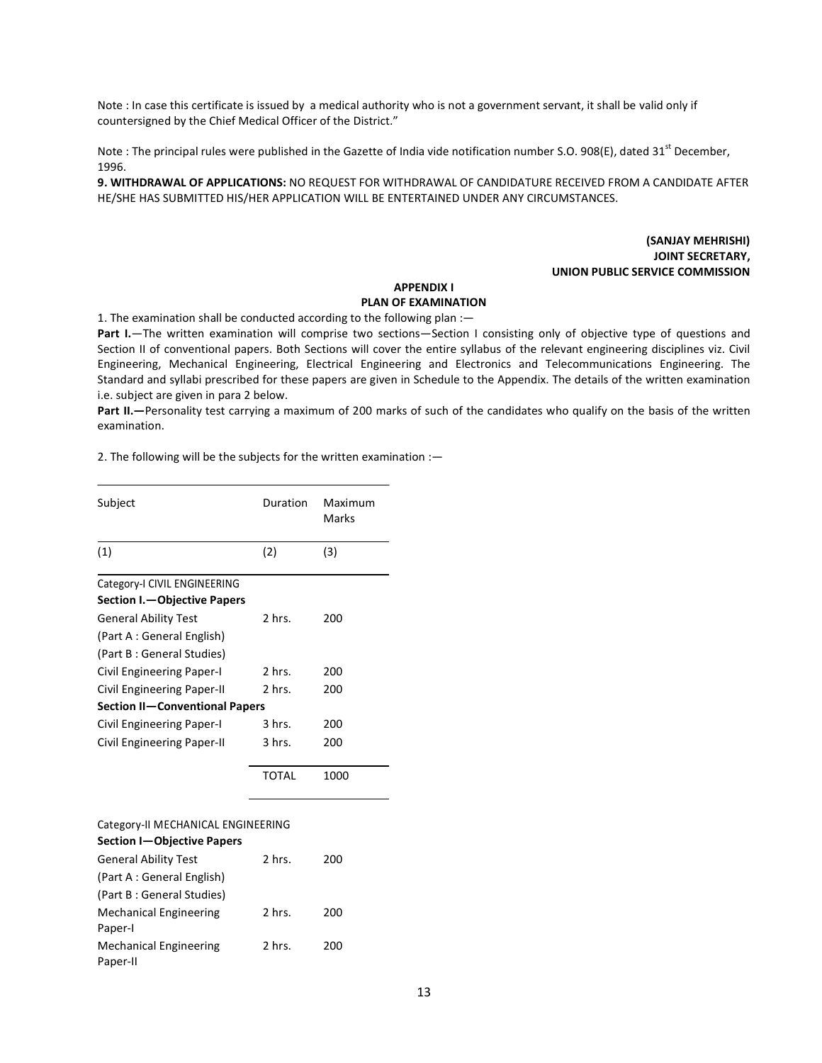Note : In case this certificate is issued by a medical authority who is not a government servant, it shall be valid only if countersigned by the Chief Medical Officer of the District."

Note : The principal rules were published in the Gazette of India vide notification number S.O. 908(E), dated 31<sup>st</sup> December, 1996.

9. WITHDRAWAL OF APPLICATIONS: NO REQUEST FOR WITHDRAWAL OF CANDIDATURE RECEIVED FROM A CANDIDATE AFTER HE/SHE HAS SUBMITTED HIS/HER APPLICATION WILL BE ENTERTAINED UNDER ANY CIRCUMSTANCES.

> (SANJAY MEHRISHI) JOINT SECRETARY, UNION PUBLIC SERVICE COMMISSION

## APPENDIX I

## PLAN OF EXAMINATION

1. The examination shall be conducted according to the following plan :—

Part I.—The written examination will comprise two sections—Section I consisting only of objective type of questions and Section II of conventional papers. Both Sections will cover the entire syllabus of the relevant engineering disciplines viz. Civil Engineering, Mechanical Engineering, Electrical Engineering and Electronics and Telecommunications Engineering. The Standard and syllabi prescribed for these papers are given in Schedule to the Appendix. The details of the written examination i.e. subject are given in para 2 below.

Part II.—Personality test carrying a maximum of 200 marks of such of the candidates who qualify on the basis of the written examination.

2. The following will be the subjects for the written examination :—

| Subject                                   | Duration     | Maximum<br>Marks |
|-------------------------------------------|--------------|------------------|
| (1)                                       | (2)          | (3)              |
| Category-I CIVIL ENGINEERING              |              |                  |
| Section I. - Objective Papers             |              |                  |
| <b>General Ability Test</b>               | 2 hrs.       | 200              |
| (Part A: General English)                 |              |                  |
| (Part B : General Studies)                |              |                  |
| Civil Engineering Paper-I                 | 2 hrs.       | 200              |
| Civil Engineering Paper-II                | 2 hrs.       | 200              |
| Section II-Conventional Papers            |              |                  |
| <b>Civil Engineering Paper-I</b>          | 3 hrs.       | 200              |
| Civil Engineering Paper-II                | 3 hrs.       | 200              |
|                                           | <b>TOTAL</b> | 1000             |
| Category-II MECHANICAL ENGINEERING        |              |                  |
| <b>Section I-Objective Papers</b>         |              |                  |
| <b>General Ability Test</b>               | 2 hrs.       | 200              |
| (Part A : General English)                |              |                  |
| (Part B : General Studies)                |              |                  |
| <b>Mechanical Engineering</b><br>Paper-I  | 2 hrs.       | 200              |
| <b>Mechanical Engineering</b><br>Paper-II | 2 hrs.       | 200              |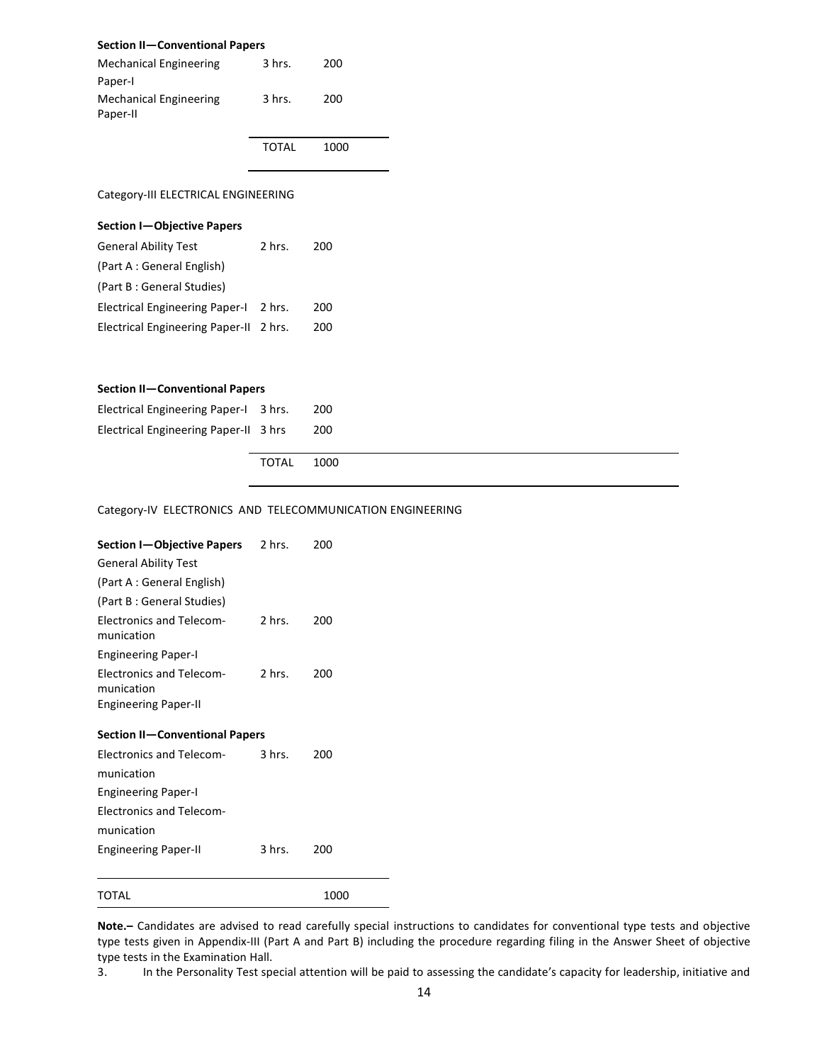## Section II—Conventional Papers

| Mechanical Engineering             | 3 hrs. | 200  |
|------------------------------------|--------|------|
| Paper-I                            |        |      |
| Mechanical Engineering<br>Paper-II | 3 hrs. | 200  |
|                                    | TOTAL  | 1000 |

Category-III ELECTRICAL ENGINEERING

| <b>Section I-Objective Papers</b>      |          |     |
|----------------------------------------|----------|-----|
| <b>General Ability Test</b>            | $2$ hrs. | 200 |
| (Part A: General English)              |          |     |
| (Part B: General Studies)              |          |     |
| <b>Electrical Engineering Paper-I</b>  | 2 hrs.   | 200 |
| Electrical Engineering Paper-II 2 hrs. |          | 200 |

#### Section II—Conventional Papers

| Electrical Engineering Paper-I 3 hrs. |       | 200  |
|---------------------------------------|-------|------|
| Electrical Engineering Paper-II 3 hrs |       | 200  |
|                                       | TOTAL | 1000 |

## Category-IV ELECTRONICS AND TELECOMMUNICATION ENGINEERING

| Section I-Objective Papers 2 hrs.                                            |                  | 200  |  |  |  |
|------------------------------------------------------------------------------|------------------|------|--|--|--|
| <b>General Ability Test</b>                                                  |                  |      |  |  |  |
| (Part A : General English)                                                   |                  |      |  |  |  |
| (Part B : General Studies)                                                   |                  |      |  |  |  |
| <b>Electronics and Telecom-</b><br>munication                                | 2 hrs.           | 200  |  |  |  |
| <b>Engineering Paper-I</b>                                                   |                  |      |  |  |  |
| <b>Electronics and Telecom-</b><br>munication<br><b>Engineering Paper-II</b> | 2 hrs.           | 200  |  |  |  |
| Section II-Conventional Papers                                               |                  |      |  |  |  |
| <b>Electronics and Telecom-</b>                                              | $3 \text{ hrs.}$ | 200  |  |  |  |
| munication                                                                   |                  |      |  |  |  |
| <b>Engineering Paper-I</b>                                                   |                  |      |  |  |  |
| <b>Electronics and Telecom-</b>                                              |                  |      |  |  |  |
| munication                                                                   |                  |      |  |  |  |
| <b>Engineering Paper-II</b>                                                  | 3 hrs. –         | 200  |  |  |  |
| TOTAL                                                                        |                  | 1000 |  |  |  |

Note.– Candidates are advised to read carefully special instructions to candidates for conventional type tests and objective type tests given in Appendix-III (Part A and Part B) including the procedure regarding filing in the Answer Sheet of objective type tests in the Examination Hall.

3. In the Personality Test special attention will be paid to assessing the candidate's capacity for leadership, initiative and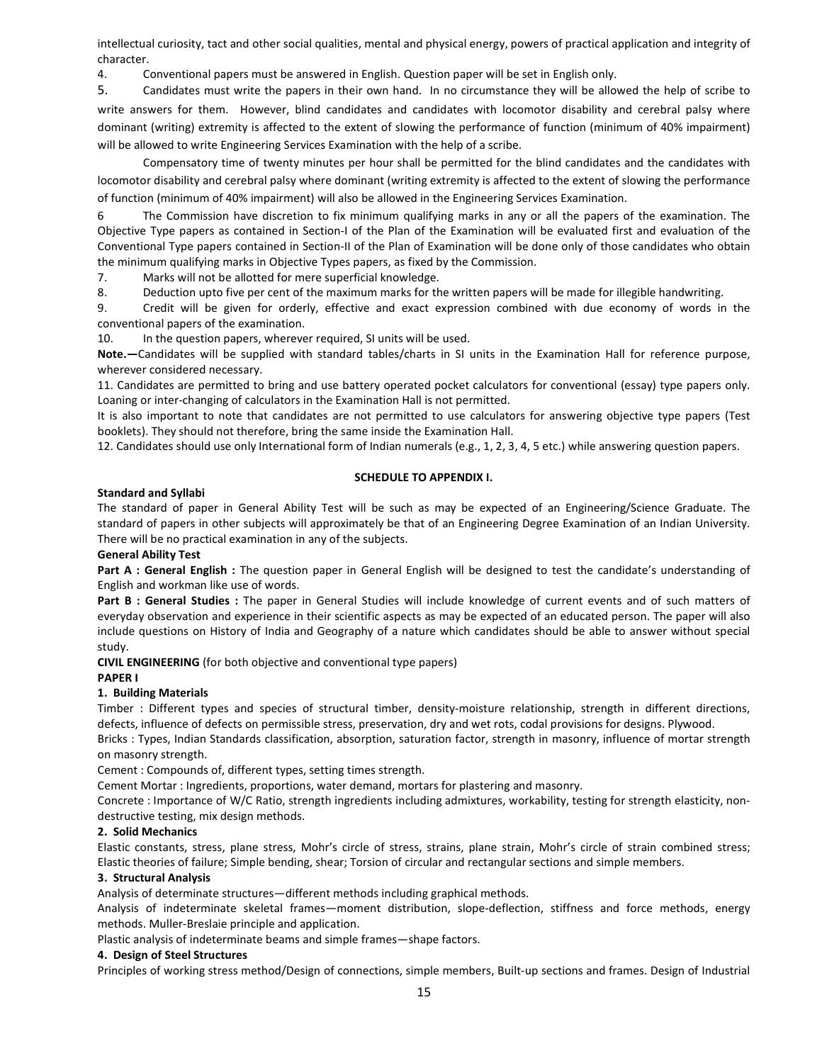intellectual curiosity, tact and other social qualities, mental and physical energy, powers of practical application and integrity of character.

4. Conventional papers must be answered in English. Question paper will be set in English only.

5. Candidates must write the papers in their own hand. In no circumstance they will be allowed the help of scribe to write answers for them. However, blind candidates and candidates with locomotor disability and cerebral palsy where dominant (writing) extremity is affected to the extent of slowing the performance of function (minimum of 40% impairment) will be allowed to write Engineering Services Examination with the help of a scribe.

Compensatory time of twenty minutes per hour shall be permitted for the blind candidates and the candidates with locomotor disability and cerebral palsy where dominant (writing extremity is affected to the extent of slowing the performance of function (minimum of 40% impairment) will also be allowed in the Engineering Services Examination.

6 The Commission have discretion to fix minimum qualifying marks in any or all the papers of the examination. The Objective Type papers as contained in Section-I of the Plan of the Examination will be evaluated first and evaluation of the Conventional Type papers contained in Section-II of the Plan of Examination will be done only of those candidates who obtain the minimum qualifying marks in Objective Types papers, as fixed by the Commission.

7. Marks will not be allotted for mere superficial knowledge.

8. Deduction upto five per cent of the maximum marks for the written papers will be made for illegible handwriting.

9. Credit will be given for orderly, effective and exact expression combined with due economy of words in the conventional papers of the examination.

10. In the question papers, wherever required, SI units will be used.

Note.—Candidates will be supplied with standard tables/charts in SI units in the Examination Hall for reference purpose, wherever considered necessary.

11. Candidates are permitted to bring and use battery operated pocket calculators for conventional (essay) type papers only. Loaning or inter-changing of calculators in the Examination Hall is not permitted.

It is also important to note that candidates are not permitted to use calculators for answering objective type papers (Test booklets). They should not therefore, bring the same inside the Examination Hall.

12. Candidates should use only International form of Indian numerals (e.g., 1, 2, 3, 4, 5 etc.) while answering question papers.

## SCHEDULE TO APPENDIX I.

## Standard and Syllabi

The standard of paper in General Ability Test will be such as may be expected of an Engineering/Science Graduate. The standard of papers in other subjects will approximately be that of an Engineering Degree Examination of an Indian University. There will be no practical examination in any of the subjects.

## General Ability Test

Part A : General English : The question paper in General English will be designed to test the candidate's understanding of English and workman like use of words.

Part B : General Studies : The paper in General Studies will include knowledge of current events and of such matters of everyday observation and experience in their scientific aspects as may be expected of an educated person. The paper will also include questions on History of India and Geography of a nature which candidates should be able to answer without special study.

CIVIL ENGINEERING (for both objective and conventional type papers)

## PAPER I

## 1. Building Materials

Timber : Different types and species of structural timber, density-moisture relationship, strength in different directions, defects, influence of defects on permissible stress, preservation, dry and wet rots, codal provisions for designs. Plywood.

Bricks : Types, Indian Standards classification, absorption, saturation factor, strength in masonry, influence of mortar strength on masonry strength.

Cement : Compounds of, different types, setting times strength.

Cement Mortar : Ingredients, proportions, water demand, mortars for plastering and masonry.

Concrete : Importance of W/C Ratio, strength ingredients including admixtures, workability, testing for strength elasticity, nondestructive testing, mix design methods.

## 2. Solid Mechanics

Elastic constants, stress, plane stress, Mohr's circle of stress, strains, plane strain, Mohr's circle of strain combined stress; Elastic theories of failure; Simple bending, shear; Torsion of circular and rectangular sections and simple members.

## 3. Structural Analysis

Analysis of determinate structures—different methods including graphical methods.

Analysis of indeterminate skeletal frames—moment distribution, slope-deflection, stiffness and force methods, energy methods. Muller-Breslaie principle and application.

Plastic analysis of indeterminate beams and simple frames—shape factors.

## 4. Design of Steel Structures

Principles of working stress method/Design of connections, simple members, Built-up sections and frames. Design of Industrial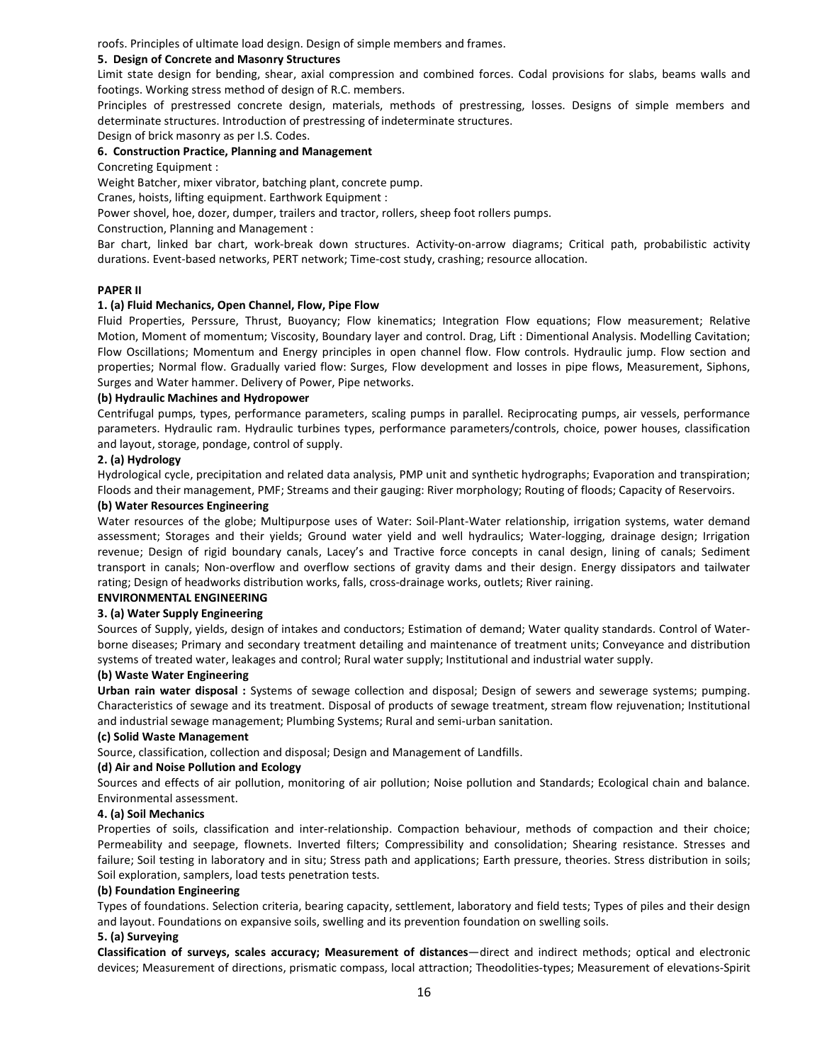roofs. Principles of ultimate load design. Design of simple members and frames.

#### 5. Design of Concrete and Masonry Structures

Limit state design for bending, shear, axial compression and combined forces. Codal provisions for slabs, beams walls and footings. Working stress method of design of R.C. members.

Principles of prestressed concrete design, materials, methods of prestressing, losses. Designs of simple members and determinate structures. Introduction of prestressing of indeterminate structures.

Design of brick masonry as per I.S. Codes.

#### 6. Construction Practice, Planning and Management

Concreting Equipment :

Weight Batcher, mixer vibrator, batching plant, concrete pump.

Cranes, hoists, lifting equipment. Earthwork Equipment :

Power shovel, hoe, dozer, dumper, trailers and tractor, rollers, sheep foot rollers pumps.

Construction, Planning and Management :

Bar chart, linked bar chart, work-break down structures. Activity-on-arrow diagrams; Critical path, probabilistic activity durations. Event-based networks, PERT network; Time-cost study, crashing; resource allocation.

## PAPER II

#### 1. (a) Fluid Mechanics, Open Channel, Flow, Pipe Flow

Fluid Properties, Perssure, Thrust, Buoyancy; Flow kinematics; Integration Flow equations; Flow measurement; Relative Motion, Moment of momentum; Viscosity, Boundary layer and control. Drag, Lift : Dimentional Analysis. Modelling Cavitation; Flow Oscillations; Momentum and Energy principles in open channel flow. Flow controls. Hydraulic jump. Flow section and properties; Normal flow. Gradually varied flow: Surges, Flow development and losses in pipe flows, Measurement, Siphons, Surges and Water hammer. Delivery of Power, Pipe networks.

#### (b) Hydraulic Machines and Hydropower

Centrifugal pumps, types, performance parameters, scaling pumps in parallel. Reciprocating pumps, air vessels, performance parameters. Hydraulic ram. Hydraulic turbines types, performance parameters/controls, choice, power houses, classification and layout, storage, pondage, control of supply.

#### 2. (a) Hydrology

Hydrological cycle, precipitation and related data analysis, PMP unit and synthetic hydrographs; Evaporation and transpiration; Floods and their management, PMF; Streams and their gauging: River morphology; Routing of floods; Capacity of Reservoirs.

#### (b) Water Resources Engineering

Water resources of the globe; Multipurpose uses of Water: Soil-Plant-Water relationship, irrigation systems, water demand assessment; Storages and their yields; Ground water yield and well hydraulics; Water-logging, drainage design; Irrigation revenue; Design of rigid boundary canals, Lacey's and Tractive force concepts in canal design, lining of canals; Sediment transport in canals; Non-overflow and overflow sections of gravity dams and their design. Energy dissipators and tailwater rating; Design of headworks distribution works, falls, cross-drainage works, outlets; River raining.

## ENVIRONMENTAL ENGINEERING

## 3. (a) Water Supply Engineering

Sources of Supply, yields, design of intakes and conductors; Estimation of demand; Water quality standards. Control of Waterborne diseases; Primary and secondary treatment detailing and maintenance of treatment units; Conveyance and distribution systems of treated water, leakages and control; Rural water supply; Institutional and industrial water supply.

#### (b) Waste Water Engineering

Urban rain water disposal : Systems of sewage collection and disposal; Design of sewers and sewerage systems; pumping. Characteristics of sewage and its treatment. Disposal of products of sewage treatment, stream flow rejuvenation; Institutional and industrial sewage management; Plumbing Systems; Rural and semi-urban sanitation.

#### (c) Solid Waste Management

Source, classification, collection and disposal; Design and Management of Landfills.

## (d) Air and Noise Pollution and Ecology

Sources and effects of air pollution, monitoring of air pollution; Noise pollution and Standards; Ecological chain and balance. Environmental assessment.

## 4. (a) Soil Mechanics

Properties of soils, classification and inter-relationship. Compaction behaviour, methods of compaction and their choice; Permeability and seepage, flownets. Inverted filters; Compressibility and consolidation; Shearing resistance. Stresses and failure; Soil testing in laboratory and in situ; Stress path and applications; Earth pressure, theories. Stress distribution in soils; Soil exploration, samplers, load tests penetration tests.

#### (b) Foundation Engineering

Types of foundations. Selection criteria, bearing capacity, settlement, laboratory and field tests; Types of piles and their design and layout. Foundations on expansive soils, swelling and its prevention foundation on swelling soils.

#### 5. (a) Surveying

Classification of surveys, scales accuracy; Measurement of distances—direct and indirect methods; optical and electronic devices; Measurement of directions, prismatic compass, local attraction; Theodolities-types; Measurement of elevations-Spirit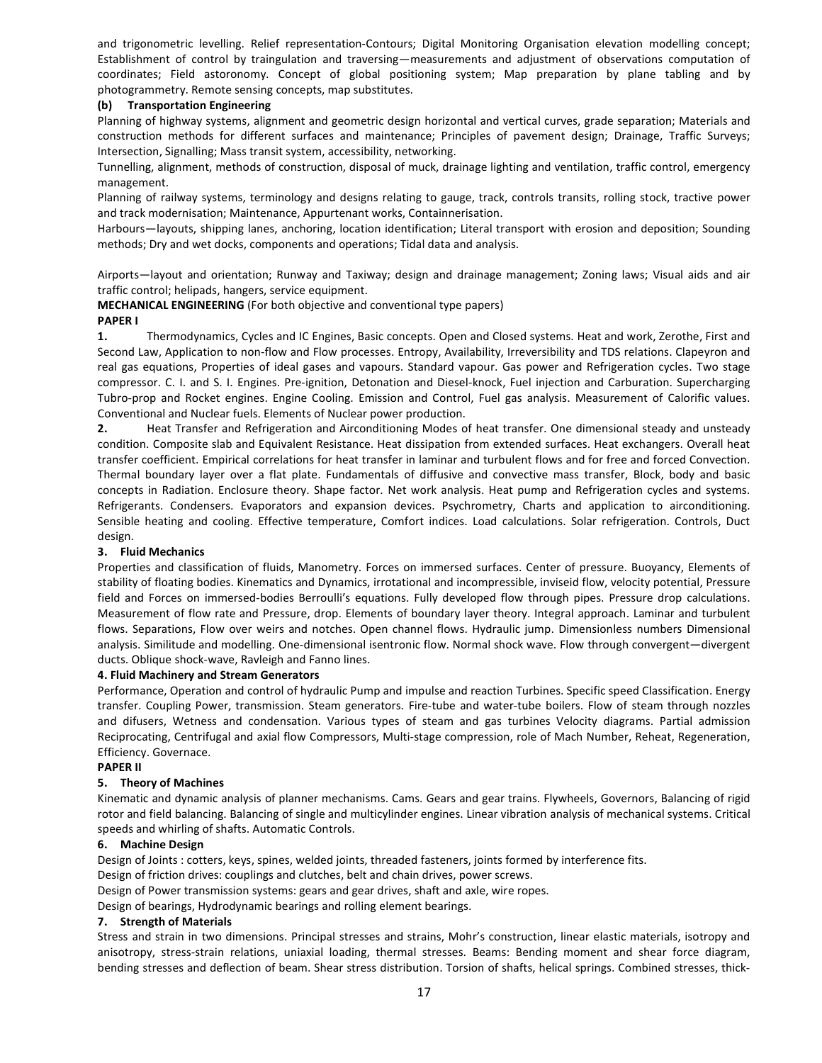and trigonometric levelling. Relief representation-Contours; Digital Monitoring Organisation elevation modelling concept; Establishment of control by traingulation and traversing—measurements and adjustment of observations computation of coordinates; Field astoronomy. Concept of global positioning system; Map preparation by plane tabling and by photogrammetry. Remote sensing concepts, map substitutes.

## (b) Transportation Engineering

Planning of highway systems, alignment and geometric design horizontal and vertical curves, grade separation; Materials and construction methods for different surfaces and maintenance; Principles of pavement design; Drainage, Traffic Surveys; Intersection, Signalling; Mass transit system, accessibility, networking.

Tunnelling, alignment, methods of construction, disposal of muck, drainage lighting and ventilation, traffic control, emergency management.

Planning of railway systems, terminology and designs relating to gauge, track, controls transits, rolling stock, tractive power and track modernisation; Maintenance, Appurtenant works, Containnerisation.

Harbours—layouts, shipping lanes, anchoring, location identification; Literal transport with erosion and deposition; Sounding methods; Dry and wet docks, components and operations; Tidal data and analysis.

Airports—layout and orientation; Runway and Taxiway; design and drainage management; Zoning laws; Visual aids and air traffic control; helipads, hangers, service equipment.

MECHANICAL ENGINEERING (For both objective and conventional type papers)

## PAPER I

1. Thermodynamics, Cycles and IC Engines, Basic concepts. Open and Closed systems. Heat and work, Zerothe, First and Second Law, Application to non-flow and Flow processes. Entropy, Availability, Irreversibility and TDS relations. Clapeyron and real gas equations, Properties of ideal gases and vapours. Standard vapour. Gas power and Refrigeration cycles. Two stage compressor. C. I. and S. I. Engines. Pre-ignition, Detonation and Diesel-knock, Fuel injection and Carburation. Supercharging Tubro-prop and Rocket engines. Engine Cooling. Emission and Control, Fuel gas analysis. Measurement of Calorific values. Conventional and Nuclear fuels. Elements of Nuclear power production.

2. Heat Transfer and Refrigeration and Airconditioning Modes of heat transfer. One dimensional steady and unsteady condition. Composite slab and Equivalent Resistance. Heat dissipation from extended surfaces. Heat exchangers. Overall heat transfer coefficient. Empirical correlations for heat transfer in laminar and turbulent flows and for free and forced Convection. Thermal boundary layer over a flat plate. Fundamentals of diffusive and convective mass transfer, Block, body and basic concepts in Radiation. Enclosure theory. Shape factor. Net work analysis. Heat pump and Refrigeration cycles and systems. Refrigerants. Condensers. Evaporators and expansion devices. Psychrometry, Charts and application to airconditioning. Sensible heating and cooling. Effective temperature, Comfort indices. Load calculations. Solar refrigeration. Controls, Duct design.

## 3. Fluid Mechanics

Properties and classification of fluids, Manometry. Forces on immersed surfaces. Center of pressure. Buoyancy, Elements of stability of floating bodies. Kinematics and Dynamics, irrotational and incompressible, inviseid flow, velocity potential, Pressure field and Forces on immersed-bodies Berroulli's equations. Fully developed flow through pipes. Pressure drop calculations. Measurement of flow rate and Pressure, drop. Elements of boundary layer theory. Integral approach. Laminar and turbulent flows. Separations, Flow over weirs and notches. Open channel flows. Hydraulic jump. Dimensionless numbers Dimensional analysis. Similitude and modelling. One-dimensional isentronic flow. Normal shock wave. Flow through convergent—divergent ducts. Oblique shock-wave, Ravleigh and Fanno lines.

## 4. Fluid Machinery and Stream Generators

Performance, Operation and control of hydraulic Pump and impulse and reaction Turbines. Specific speed Classification. Energy transfer. Coupling Power, transmission. Steam generators. Fire-tube and water-tube boilers. Flow of steam through nozzles and difusers, Wetness and condensation. Various types of steam and gas turbines Velocity diagrams. Partial admission Reciprocating, Centrifugal and axial flow Compressors, Multi-stage compression, role of Mach Number, Reheat, Regeneration, Efficiency. Governace.

## PAPER II

## 5. Theory of Machines

Kinematic and dynamic analysis of planner mechanisms. Cams. Gears and gear trains. Flywheels, Governors, Balancing of rigid rotor and field balancing. Balancing of single and multicylinder engines. Linear vibration analysis of mechanical systems. Critical speeds and whirling of shafts. Automatic Controls.

## 6. Machine Design

Design of Joints : cotters, keys, spines, welded joints, threaded fasteners, joints formed by interference fits.

Design of friction drives: couplings and clutches, belt and chain drives, power screws.

Design of Power transmission systems: gears and gear drives, shaft and axle, wire ropes.

Design of bearings, Hydrodynamic bearings and rolling element bearings.

## 7. Strength of Materials

Stress and strain in two dimensions. Principal stresses and strains, Mohr's construction, linear elastic materials, isotropy and anisotropy, stress-strain relations, uniaxial loading, thermal stresses. Beams: Bending moment and shear force diagram, bending stresses and deflection of beam. Shear stress distribution. Torsion of shafts, helical springs. Combined stresses, thick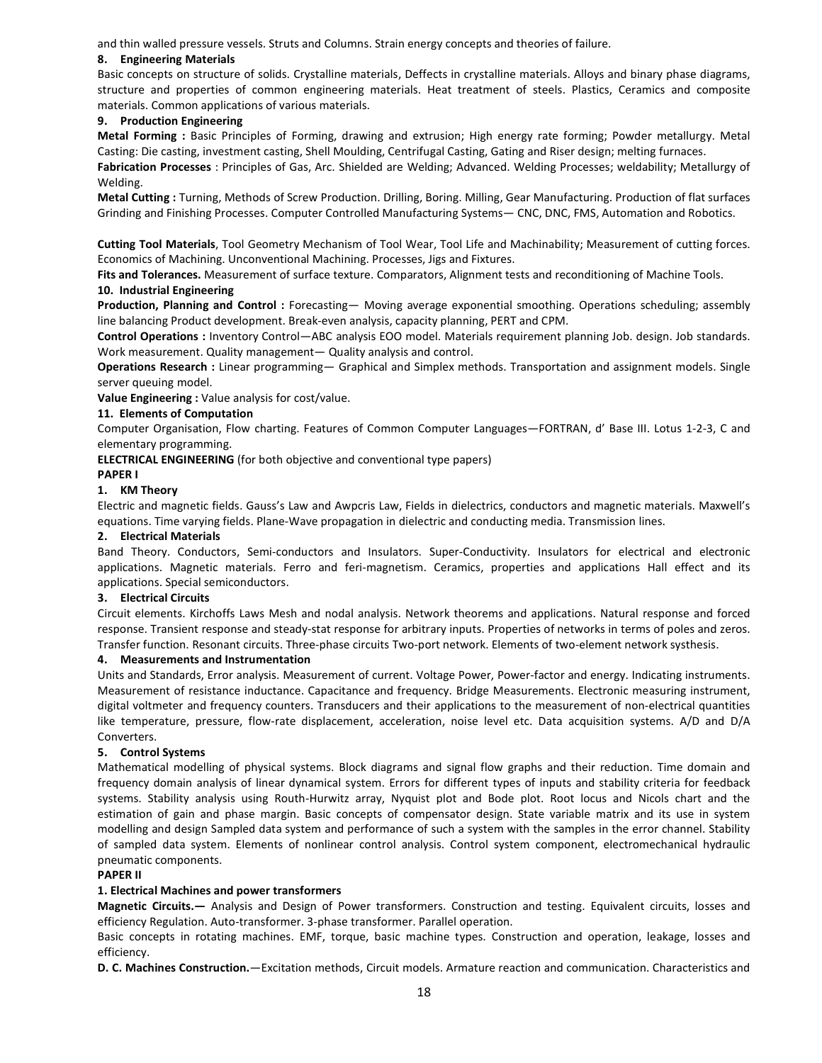and thin walled pressure vessels. Struts and Columns. Strain energy concepts and theories of failure.

#### 8. Engineering Materials

Basic concepts on structure of solids. Crystalline materials, Deffects in crystalline materials. Alloys and binary phase diagrams, structure and properties of common engineering materials. Heat treatment of steels. Plastics, Ceramics and composite materials. Common applications of various materials.

## 9. Production Engineering

Metal Forming : Basic Principles of Forming, drawing and extrusion; High energy rate forming; Powder metallurgy. Metal Casting: Die casting, investment casting, Shell Moulding, Centrifugal Casting, Gating and Riser design; melting furnaces. Fabrication Processes : Principles of Gas, Arc. Shielded are Welding; Advanced. Welding Processes; weldability; Metallurgy of Welding.

Metal Cutting : Turning, Methods of Screw Production. Drilling, Boring. Milling, Gear Manufacturing. Production of flat surfaces Grinding and Finishing Processes. Computer Controlled Manufacturing Systems— CNC, DNC, FMS, Automation and Robotics.

Cutting Tool Materials, Tool Geometry Mechanism of Tool Wear, Tool Life and Machinability; Measurement of cutting forces. Economics of Machining. Unconventional Machining. Processes, Jigs and Fixtures.

Fits and Tolerances. Measurement of surface texture. Comparators, Alignment tests and reconditioning of Machine Tools. 10. Industrial Engineering

Production, Planning and Control : Forecasting— Moving average exponential smoothing. Operations scheduling; assembly line balancing Product development. Break-even analysis, capacity planning, PERT and CPM.

Control Operations : Inventory Control—ABC analysis EOO model. Materials requirement planning Job. design. Job standards. Work measurement. Quality management— Quality analysis and control.

Operations Research : Linear programming— Graphical and Simplex methods. Transportation and assignment models. Single server queuing model.

Value Engineering : Value analysis for cost/value.

## 11. Elements of Computation

Computer Organisation, Flow charting. Features of Common Computer Languages—FORTRAN, d' Base III. Lotus 1-2-3, C and elementary programming.

ELECTRICAL ENGINEERING (for both objective and conventional type papers)

#### PAPER I

## 1. KM Theory

Electric and magnetic fields. Gauss's Law and Awpcris Law, Fields in dielectrics, conductors and magnetic materials. Maxwell's equations. Time varying fields. Plane-Wave propagation in dielectric and conducting media. Transmission lines.

#### 2. Electrical Materials

Band Theory. Conductors, Semi-conductors and Insulators. Super-Conductivity. Insulators for electrical and electronic applications. Magnetic materials. Ferro and feri-magnetism. Ceramics, properties and applications Hall effect and its applications. Special semiconductors.

#### 3. Electrical Circuits

Circuit elements. Kirchoffs Laws Mesh and nodal analysis. Network theorems and applications. Natural response and forced response. Transient response and steady-stat response for arbitrary inputs. Properties of networks in terms of poles and zeros. Transfer function. Resonant circuits. Three-phase circuits Two-port network. Elements of two-element network systhesis.

#### 4. Measurements and Instrumentation

Units and Standards, Error analysis. Measurement of current. Voltage Power, Power-factor and energy. Indicating instruments. Measurement of resistance inductance. Capacitance and frequency. Bridge Measurements. Electronic measuring instrument, digital voltmeter and frequency counters. Transducers and their applications to the measurement of non-electrical quantities like temperature, pressure, flow-rate displacement, acceleration, noise level etc. Data acquisition systems. A/D and D/A Converters.

#### 5. Control Systems

Mathematical modelling of physical systems. Block diagrams and signal flow graphs and their reduction. Time domain and frequency domain analysis of linear dynamical system. Errors for different types of inputs and stability criteria for feedback systems. Stability analysis using Routh-Hurwitz array, Nyquist plot and Bode plot. Root locus and Nicols chart and the estimation of gain and phase margin. Basic concepts of compensator design. State variable matrix and its use in system modelling and design Sampled data system and performance of such a system with the samples in the error channel. Stability of sampled data system. Elements of nonlinear control analysis. Control system component, electromechanical hydraulic pneumatic components.

#### PAPER II

## 1. Electrical Machines and power transformers

Magnetic Circuits.— Analysis and Design of Power transformers. Construction and testing. Equivalent circuits, losses and efficiency Regulation. Auto-transformer. 3-phase transformer. Parallel operation.

Basic concepts in rotating machines. EMF, torque, basic machine types. Construction and operation, leakage, losses and efficiency.

D. C. Machines Construction.—Excitation methods, Circuit models. Armature reaction and communication. Characteristics and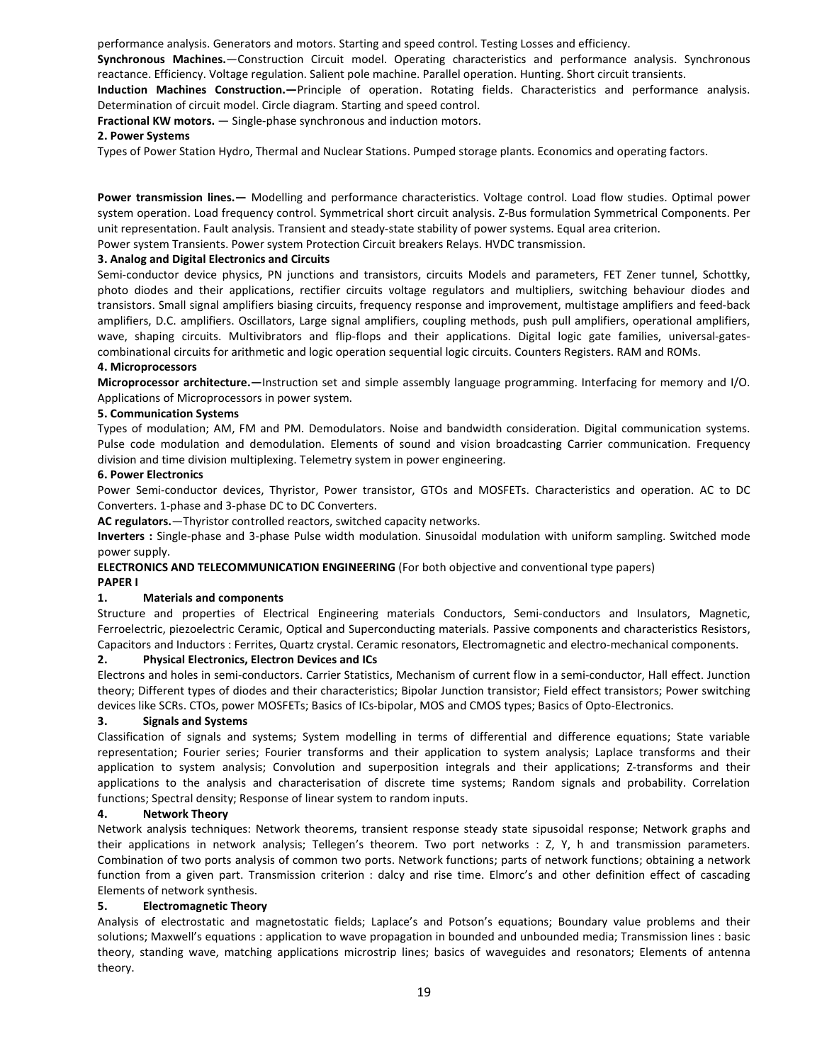performance analysis. Generators and motors. Starting and speed control. Testing Losses and efficiency.

Synchronous Machines.—Construction Circuit model. Operating characteristics and performance analysis. Synchronous reactance. Efficiency. Voltage regulation. Salient pole machine. Parallel operation. Hunting. Short circuit transients.

Induction Machines Construction.—Principle of operation. Rotating fields. Characteristics and performance analysis. Determination of circuit model. Circle diagram. Starting and speed control.

Fractional KW motors. — Single-phase synchronous and induction motors.

## 2. Power Systems

Types of Power Station Hydro, Thermal and Nuclear Stations. Pumped storage plants. Economics and operating factors.

Power transmission lines. - Modelling and performance characteristics. Voltage control. Load flow studies. Optimal power system operation. Load frequency control. Symmetrical short circuit analysis. Z-Bus formulation Symmetrical Components. Per unit representation. Fault analysis. Transient and steady-state stability of power systems. Equal area criterion.

Power system Transients. Power system Protection Circuit breakers Relays. HVDC transmission.

## 3. Analog and Digital Electronics and Circuits

Semi-conductor device physics, PN junctions and transistors, circuits Models and parameters, FET Zener tunnel, Schottky, photo diodes and their applications, rectifier circuits voltage regulators and multipliers, switching behaviour diodes and transistors. Small signal amplifiers biasing circuits, frequency response and improvement, multistage amplifiers and feed-back amplifiers, D.C. amplifiers. Oscillators, Large signal amplifiers, coupling methods, push pull amplifiers, operational amplifiers, wave, shaping circuits. Multivibrators and flip-flops and their applications. Digital logic gate families, universal-gatescombinational circuits for arithmetic and logic operation sequential logic circuits. Counters Registers. RAM and ROMs.

#### 4. Microprocessors

Microprocessor architecture.—Instruction set and simple assembly language programming. Interfacing for memory and I/O. Applications of Microprocessors in power system.

#### 5. Communication Systems

Types of modulation; AM, FM and PM. Demodulators. Noise and bandwidth consideration. Digital communication systems. Pulse code modulation and demodulation. Elements of sound and vision broadcasting Carrier communication. Frequency division and time division multiplexing. Telemetry system in power engineering.

#### 6. Power Electronics

Power Semi-conductor devices, Thyristor, Power transistor, GTOs and MOSFETs. Characteristics and operation. AC to DC Converters. 1-phase and 3-phase DC to DC Converters.

AC regulators.—Thyristor controlled reactors, switched capacity networks.

Inverters : Single-phase and 3-phase Pulse width modulation. Sinusoidal modulation with uniform sampling. Switched mode power supply.

## ELECTRONICS AND TELECOMMUNICATION ENGINEERING (For both objective and conventional type papers) PAPER I

## 1. Materials and components

Structure and properties of Electrical Engineering materials Conductors, Semi-conductors and Insulators, Magnetic, Ferroelectric, piezoelectric Ceramic, Optical and Superconducting materials. Passive components and characteristics Resistors, Capacitors and Inductors : Ferrites, Quartz crystal. Ceramic resonators, Electromagnetic and electro-mechanical components.

## 2. Physical Electronics, Electron Devices and ICs

Electrons and holes in semi-conductors. Carrier Statistics, Mechanism of current flow in a semi-conductor, Hall effect. Junction theory; Different types of diodes and their characteristics; Bipolar Junction transistor; Field effect transistors; Power switching devices like SCRs. CTOs, power MOSFETs; Basics of ICs-bipolar, MOS and CMOS types; Basics of Opto-Electronics.

## 3. Signals and Systems

Classification of signals and systems; System modelling in terms of differential and difference equations; State variable representation; Fourier series; Fourier transforms and their application to system analysis; Laplace transforms and their application to system analysis; Convolution and superposition integrals and their applications; Z-transforms and their applications to the analysis and characterisation of discrete time systems; Random signals and probability. Correlation functions; Spectral density; Response of linear system to random inputs.

## 4. Network Theory

Network analysis techniques: Network theorems, transient response steady state sipusoidal response; Network graphs and their applications in network analysis; Tellegen's theorem. Two port networks : Z, Y, h and transmission parameters. Combination of two ports analysis of common two ports. Network functions; parts of network functions; obtaining a network function from a given part. Transmission criterion : dalcy and rise time. Elmorc's and other definition effect of cascading Elements of network synthesis.

## 5. Electromagnetic Theory

Analysis of electrostatic and magnetostatic fields; Laplace's and Potson's equations; Boundary value problems and their solutions; Maxwell's equations : application to wave propagation in bounded and unbounded media; Transmission lines : basic theory, standing wave, matching applications microstrip lines; basics of waveguides and resonators; Elements of antenna theory.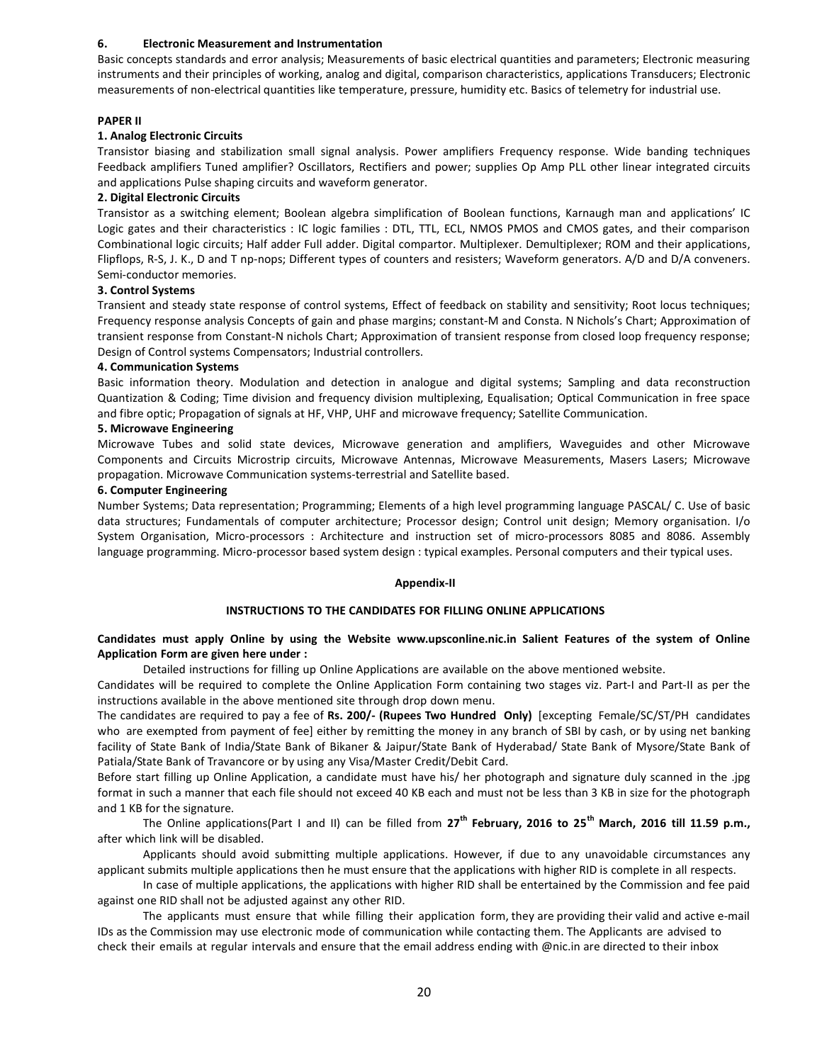#### 6. Electronic Measurement and Instrumentation

Basic concepts standards and error analysis; Measurements of basic electrical quantities and parameters; Electronic measuring instruments and their principles of working, analog and digital, comparison characteristics, applications Transducers; Electronic measurements of non-electrical quantities like temperature, pressure, humidity etc. Basics of telemetry for industrial use.

#### PAPER II

#### 1. Analog Electronic Circuits

Transistor biasing and stabilization small signal analysis. Power amplifiers Frequency response. Wide banding techniques Feedback amplifiers Tuned amplifier? Oscillators, Rectifiers and power; supplies Op Amp PLL other linear integrated circuits and applications Pulse shaping circuits and waveform generator.

#### 2. Digital Electronic Circuits

Transistor as a switching element; Boolean algebra simplification of Boolean functions, Karnaugh man and applications' IC Logic gates and their characteristics : IC logic families : DTL, TTL, ECL, NMOS PMOS and CMOS gates, and their comparison Combinational logic circuits; Half adder Full adder. Digital compartor. Multiplexer. Demultiplexer; ROM and their applications, Flipflops, R-S, J. K., D and T np-nops; Different types of counters and resisters; Waveform generators. A/D and D/A conveners. Semi-conductor memories.

#### 3. Control Systems

Transient and steady state response of control systems, Effect of feedback on stability and sensitivity; Root locus techniques; Frequency response analysis Concepts of gain and phase margins; constant-M and Consta. N Nichols's Chart; Approximation of transient response from Constant-N nichols Chart; Approximation of transient response from closed loop frequency response; Design of Control systems Compensators; Industrial controllers.

#### 4. Communication Systems

Basic information theory. Modulation and detection in analogue and digital systems; Sampling and data reconstruction Quantization & Coding; Time division and frequency division multiplexing, Equalisation; Optical Communication in free space and fibre optic; Propagation of signals at HF, VHP, UHF and microwave frequency; Satellite Communication.

#### 5. Microwave Engineering

Microwave Tubes and solid state devices, Microwave generation and amplifiers, Waveguides and other Microwave Components and Circuits Microstrip circuits, Microwave Antennas, Microwave Measurements, Masers Lasers; Microwave propagation. Microwave Communication systems-terrestrial and Satellite based.

#### 6. Computer Engineering

Number Systems; Data representation; Programming; Elements of a high level programming language PASCAL/ C. Use of basic data structures; Fundamentals of computer architecture; Processor design; Control unit design; Memory organisation. I/o System Organisation, Micro-processors : Architecture and instruction set of micro-processors 8085 and 8086. Assembly language programming. Micro-processor based system design : typical examples. Personal computers and their typical uses.

#### Appendix-II

#### INSTRUCTIONS TO THE CANDIDATES FOR FILLING ONLINE APPLICATIONS

## Candidates must apply Online by using the Website www.upsconline.nic.in Salient Features of the system of Online Application Form are given here under :

Detailed instructions for filling up Online Applications are available on the above mentioned website.

Candidates will be required to complete the Online Application Form containing two stages viz. Part-I and Part-II as per the instructions available in the above mentioned site through drop down menu.

The candidates are required to pay a fee of Rs. 200/- (Rupees Two Hundred Only) [excepting Female/SC/ST/PH candidates who are exempted from payment of fee] either by remitting the money in any branch of SBI by cash, or by using net banking facility of State Bank of India/State Bank of Bikaner & Jaipur/State Bank of Hyderabad/ State Bank of Mysore/State Bank of Patiala/State Bank of Travancore or by using any Visa/Master Credit/Debit Card.

Before start filling up Online Application, a candidate must have his/ her photograph and signature duly scanned in the .jpg format in such a manner that each file should not exceed 40 KB each and must not be less than 3 KB in size for the photograph and 1 KB for the signature.

The Online applications(Part I and II) can be filled from  $27^{th}$  February, 2016 to 25<sup>th</sup> March, 2016 till 11.59 p.m., after which link will be disabled.

Applicants should avoid submitting multiple applications. However, if due to any unavoidable circumstances any applicant submits multiple applications then he must ensure that the applications with higher RID is complete in all respects.

In case of multiple applications, the applications with higher RID shall be entertained by the Commission and fee paid against one RID shall not be adjusted against any other RID.

The applicants must ensure that while filling their application form, they are providing their valid and active e-mail IDs as the Commission may use electronic mode of communication while contacting them. The Applicants are advised to check their emails at regular intervals and ensure that the email address ending with @nic.in are directed to their inbox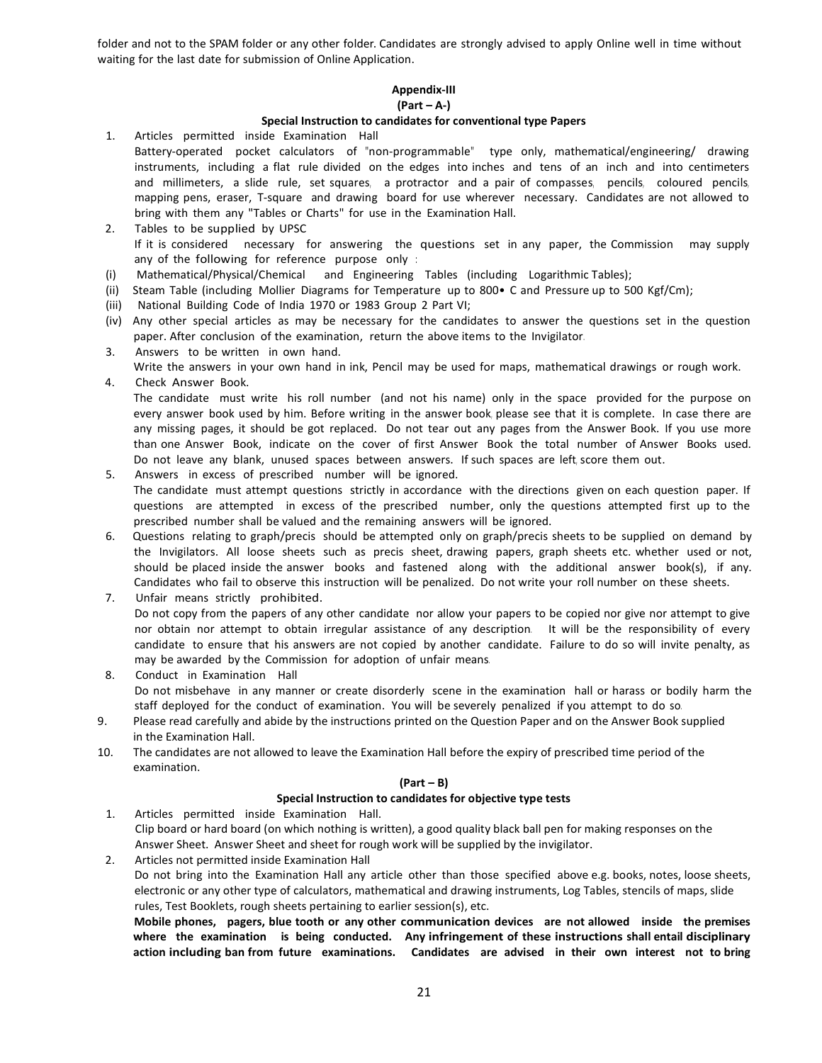folder and not to the SPAM folder or any other folder. Candidates are strongly advised to apply Online well in time without waiting for the last date for submission of Online Application.

# Appendix-III

## (Part – A-)

## Special Instruction to candidates for conventional type Papers

- 1. Articles permitted inside Examination Hall Battery-operated pocket calculators of "non-programmable" type only, mathematical/engineering/ drawing instruments, including a flat rule divided on the edges into inches and tens of an inch and into centimeters and millimeters, a slide rule, set squares, a protractor and a pair of compasses, pencils, coloured pencils, mapping pens, eraser, T-square and drawing board for use wherever necessary. Candidates are not allowed to bring with them any "Tables or Charts" for use in the Examination Hall.
- 2. Tables to be supplied by UPSC If it is considered necessary for answering the questions set in any paper, the Commission may supply any of the following for reference purpose only :
- (i) Mathematical/Physical/Chemical and Engineering Tables (including Logarithmic Tables);
- (ii) Steam Table (including Mollier Diagrams for Temperature up to 800• C and Pressure up to 500 Kgf/Cm);
- (iii) National Building Code of India 1970 or 1983 Group 2 Part VI;
- (iv) Any other special articles as may be necessary for the candidates to answer the questions set in the question paper. After conclusion of the examination, return the above items to the Invigilator.
- 3. Answers to be written in own hand.
- Write the answers in your own hand in ink, Pencil may be used for maps, mathematical drawings or rough work. 4. Check Answer Book.
	- The candidate must write his roll number (and not his name) only in the space provided for the purpose on every answer book used by him. Before writing in the answer book, please see that it is complete. In case there are any missing pages, it should be got replaced. Do not tear out any pages from the Answer Book. If you use more than one Answer Book, indicate on the cover of first Answer Book the total number of Answer Books used. Do not leave any blank, unused spaces between answers. If such spaces are left, score them out.
- 5. Answers in excess of prescribed number will be ignored. The candidate must attempt questions strictly in accordance with the directions given on each question paper. If questions are attempted in excess of the prescribed number, only the questions attempted first up to the prescribed number shall be valued and the remaining answers will be ignored.
- 6. Questions relating to graph/precis should be attempted only on graph/precis sheets to be supplied on demand by the Invigilators. All loose sheets such as precis sheet, drawing papers, graph sheets etc. whether used or not, should be placed inside the answer books and fastened along with the additional answer book(s), if any. Candidates who fail to observe this instruction will be penalized. Do not write your roll number on these sheets.
- 7. Unfair means strictly prohibited. Do not copy from the papers of any other candidate nor allow your papers to be copied nor give nor attempt to give nor obtain nor attempt to obtain irregular assistance of any description. It will be the responsibility of every candidate to ensure that his answers are not copied by another candidate. Failure to do so will invite penalty, as may be awarded by the Commission for adoption of unfair means.
- 8. Conduct in Examination Hall Do not misbehave in any manner or create disorderly scene in the examination hall or harass or bodily harm the staff deployed for the conduct of examination. You will be severely penalized if you attempt to do so.
- 9. Please read carefully and abide by the instructions printed on the Question Paper and on the Answer Book supplied in the Examination Hall.
- 10. The candidates are not allowed to leave the Examination Hall before the expiry of prescribed time period of the examination.

## (Part – B)

## Special Instruction to candidates for objective type tests

- 1. Articles permitted inside Examination Hall. Clip board or hard board (on which nothing is written), a good quality black ball pen for making responses on the Answer Sheet. Answer Sheet and sheet for rough work will be supplied by the invigilator.
- 2. Articles not permitted inside Examination Hall Do not bring into the Examination Hall any article other than those specified above e.g. books, notes, loose sheets, electronic or any other type of calculators, mathematical and drawing instruments, Log Tables, stencils of maps, slide rules, Test Booklets, rough sheets pertaining to earlier session(s), etc.

Mobile phones, pagers, blue tooth or any other communication devices are not allowed inside the premises where the examination is being conducted. Any infringement of these instructions shall entail disciplinary action including ban from future examinations. Candidates are advised in their own interest not to bring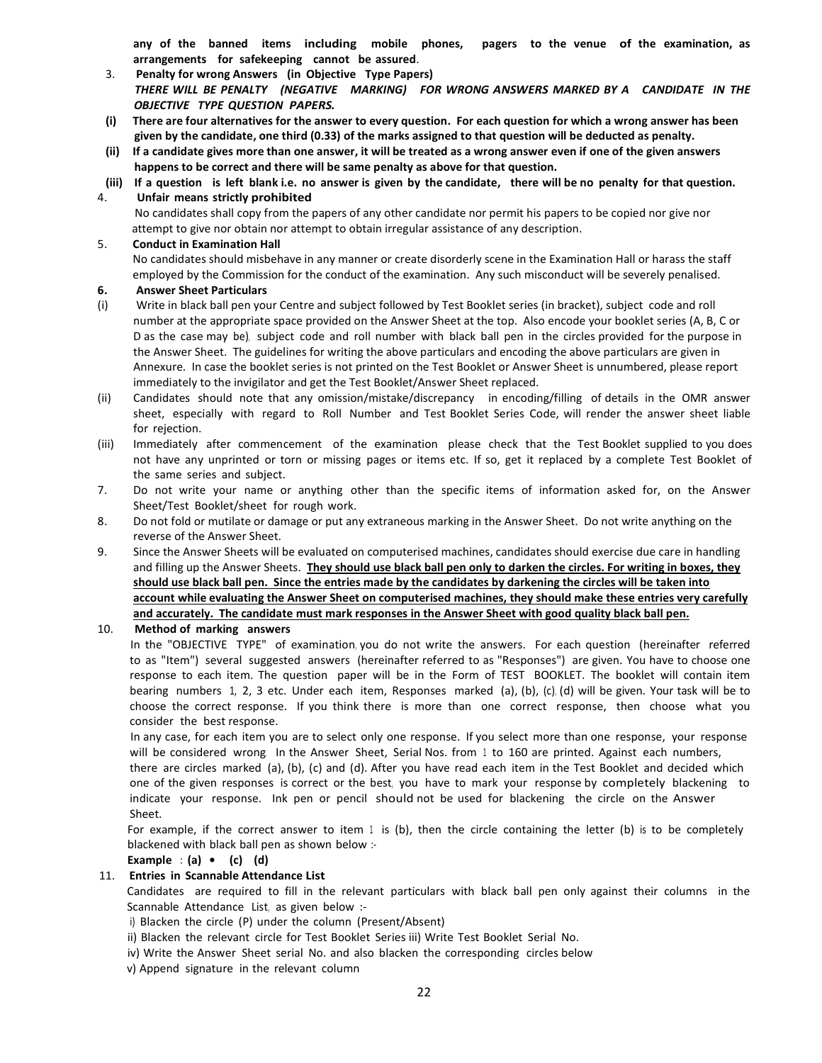any of the banned items including mobile phones, pagers to the venue of the examination, as arrangements for safekeeping cannot be assured.

- 3. Penalty for wrong Answers (in Objective Type Papers) *THERE WILL BE PENALTY (NEGATIVE MARKING) FOR WRONG ANSWERS MARKED BY A CANDIDATE IN THE OBJECTIVE TYPE QUESTION PAPERS.*
- (i) There are four alternatives for the answer to every question. For each question for which a wrong answer has been given by the candidate, one third (0.33) of the marks assigned to that question will be deducted as penalty.
- (ii) If a candidate gives more than one answer, it will be treated as a wrong answer even if one of the given answers happens to be correct and there will be same penalty as above for that question.
- (iii) If a question is left blank i.e. no answer is given by the candidate, there will be no penalty for that question.

## 4. Unfair means strictly prohibited

 No candidates shall copy from the papers of any other candidate nor permit his papers to be copied nor give nor attempt to give nor obtain nor attempt to obtain irregular assistance of any description.

## 5. Conduct in Examination Hall

No candidates should misbehave in any manner or create disorderly scene in the Examination Hall or harass the staff employed by the Commission for the conduct of the examination. Any such misconduct will be severely penalised.

## 6. Answer Sheet Particulars

- (i) Write in black ball pen your Centre and subject followed by Test Booklet series (in bracket), subject code and roll number at the appropriate space provided on the Answer Sheet at the top. Also encode your booklet series (A, B, C or D as the case may be), subject code and roll number with black ball pen in the circles provided for the purpose in the Answer Sheet. The guidelines for writing the above particulars and encoding the above particulars are given in Annexure. In case the booklet series is not printed on the Test Booklet or Answer Sheet is unnumbered, please report immediately to the invigilator and get the Test Booklet/Answer Sheet replaced.
- (ii) Candidates should note that any omission/mistake/discrepancy in encoding/filling of details in the OMR answer sheet, especially with regard to Roll Number and Test Booklet Series Code, will render the answer sheet liable for rejection.
- (iii) Immediately after commencement of the examination please check that the Test Booklet supplied to you does not have any unprinted or torn or missing pages or items etc. If so, get it replaced by a complete Test Booklet of the same series and subject.
- 7. Do not write your name or anything other than the specific items of information asked for, on the Answer Sheet/Test Booklet/sheet for rough work.
- 8. Do not fold or mutilate or damage or put any extraneous marking in the Answer Sheet. Do not write anything on the reverse of the Answer Sheet.
- 9. Since the Answer Sheets will be evaluated on computerised machines, candidates should exercise due care in handling and filling up the Answer Sheets. They should use black ball pen only to darken the circles. For writing in boxes, they should use black ball pen. Since the entries made by the candidates by darkening the circles will be taken into account while evaluating the Answer Sheet on computerised machines, they should make these entries very carefully and accurately. The candidate must mark responses in the Answer Sheet with good quality black ball pen.

## 10. Method of marking answers

In the "OBJECTIVE TYPE" of examination, you do not write the answers. For each question (hereinafter referred to as "Item") several suggested answers (hereinafter referred to as "Responses") are given. You have to choose one response to each item. The question paper will be in the Form of TEST BOOKLET. The booklet will contain item bearing numbers 1, 2, 3 etc. Under each item, Responses marked (a), (b), (c), (d) will be given. Your task will be to choose the correct response. If you think there is more than one correct response, then choose what you consider the best response.

In any case, for each item you are to select only one response. If you select more than one response, your response will be considered wrong. In the Answer Sheet, Serial Nos. from 1 to 160 are printed. Against each numbers,

there are circles marked (a), (b), (c) and (d). After you have read each item in the Test Booklet and decided which one of the given responses is correct or the best, you have to mark your response by completely blackening to indicate your response. Ink pen or pencil should not be used for blackening the circle on the Answer Sheet.

For example, if the correct answer to item 1 is (b), then the circle containing the letter (b) is to be completely blackened with black ball pen as shown below :-

## Example :  $(a) \bullet (c)$   $(d)$

## 11. Entries in Scannable Attendance List

Candidates are required to fill in the relevant particulars with black ball pen only against their columns in the Scannable Attendance List, as given below :-

i) Blacken the circle (P) under the column (Present/Absent)

ii) Blacken the relevant circle for Test Booklet Series iii) Write Test Booklet Serial No.

iv) Write the Answer Sheet serial No. and also blacken the corresponding circles below

v) Append signature in the relevant column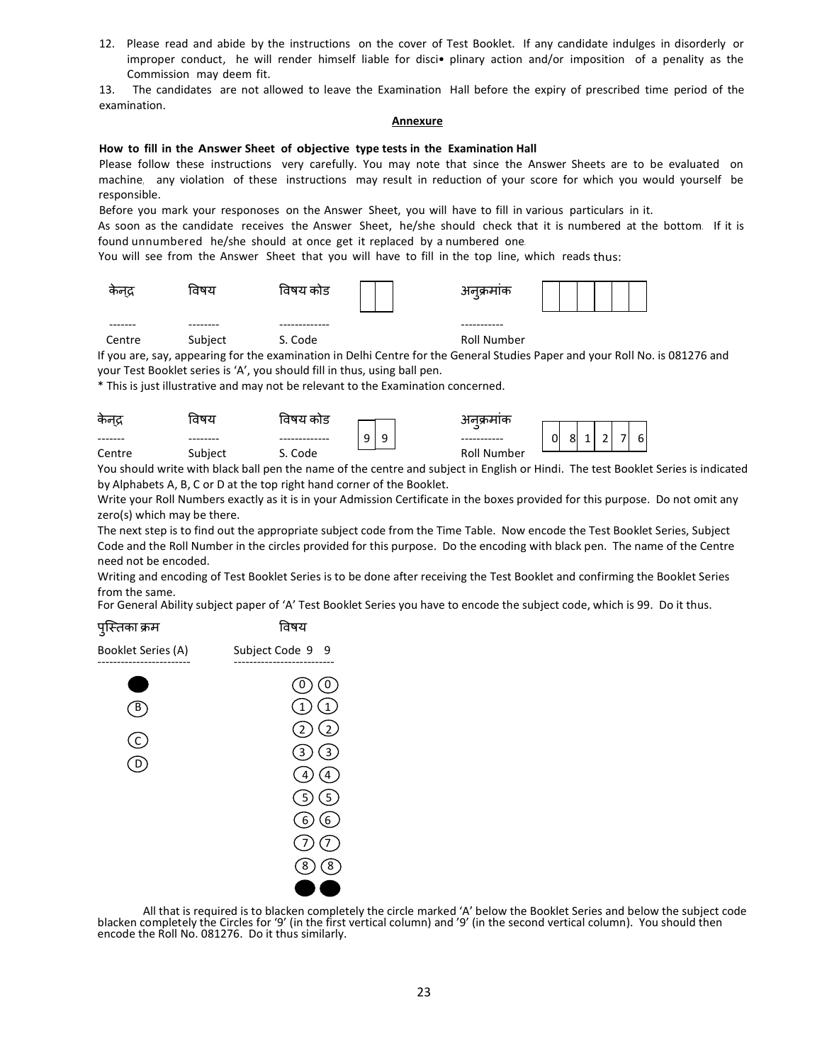12. Please read and abide by the instructions on the cover of Test Booklet. If any candidate indulges in disorderly or improper conduct, he will render himself liable for disci• plinary action and/or imposition of a penality as the Commission may deem fit.

13. The candidates are not allowed to leave the Examination Hall before the expiry of prescribed time period of the examination.

#### Annexure

#### How to fill in the Answer Sheet of objective type tests in the Examination Hall

Please follow these instructions very carefully. You may note that since the Answer Sheets are to be evaluated on machine, any violation of these instructions may result in reduction of your score for which you would yourself be responsible.

Before you mark your responoses on the Answer Sheet, you will have to fill in various particulars in it.

As soon as the candidate receives the Answer Sheet, he/she should check that it is numbered at the bottom. If it is found unnumbered he/she should at once get it replaced by a numbered one.

You will see from the Answer Sheet that you will have to fill in the top line, which reads thus:

| कनद्र   | ावषय     | विषय काड      | अनक्रमाक    |  |
|---------|----------|---------------|-------------|--|
| ------- | -------- | ------------- | ----------- |  |
| Centre  | Subject  | S. Code       | Roll Number |  |

If you are, say, appearing for the examination in Delhi Centre for the General Studies Paper and your Roll No. is 081276 and your Test Booklet series is 'A', you should fill in thus, using ball pen.

\* This is just illustrative and may not be relevant to the Examination concerned.

| कन्द्र | ਰਧਹ      | विषय काड |                       | भवक्रमाक           |                                                                            |
|--------|----------|----------|-----------------------|--------------------|----------------------------------------------------------------------------|
|        | ________ |          | ⌒<br>u<br>ч<br>ے<br>٠ |                    | $\overline{\phantom{0}}$<br>$\sim$<br>0<br>$6 \mid$<br>81<br>-<br><b>.</b> |
| Centre | Subject  | Code     |                       | <b>Roll Number</b> |                                                                            |

You should write with black ball pen the name of the centre and subject in English or Hindi. The test Booklet Series is indicated by Alphabets A, B, C or D at the top right hand corner of the Booklet.

Write your Roll Numbers exactly as it is in your Admission Certificate in the boxes provided for this purpose. Do not omit any zero(s) which may be there.

The next step is to find out the appropriate subject code from the Time Table. Now encode the Test Booklet Series, Subject Code and the Roll Number in the circles provided for this purpose. Do the encoding with black pen. The name of the Centre need not be encoded.

Writing and encoding of Test Booklet Series is to be done after receiving the Test Booklet and confirming the Booklet Series from the same.

For General Ability subject paper of 'A' Test Booklet Series you have to encode the subject code, which is 99. Do it thus.



All that is required is to blacken completely the circle marked 'A' below the Booklet Series and below the subject code blacken completely the Circles for '9' (in the first vertical column) and '9' (in the second vertical column). You should then encode the Roll No. 081276. Do it thus similarly.